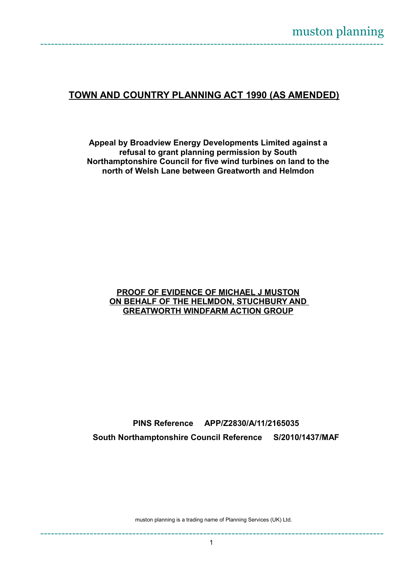# **TOWN AND COUNTRY PLANNING ACT 1990 (AS AMENDED)**

**Appeal by Broadview Energy Developments Limited against a refusal to grant planning permission by South Northamptonshire Council for five wind turbines on land to the north of Welsh Lane between Greatworth and Helmdon**

#### **PROOF OF EVIDENCE OF MICHAEL J MUSTON ON BEHALF OF THE HELMDON, STUCHBURY AND GREATWORTH WINDFARM ACTION GROUP**

**PINS Reference APP/Z2830/A/11/2165035 South Northamptonshire Council Reference S/2010/1437/MAF**

muston planning is a trading name of Planning Services (UK) Ltd.

-------------------------------------------------------------------------------------------------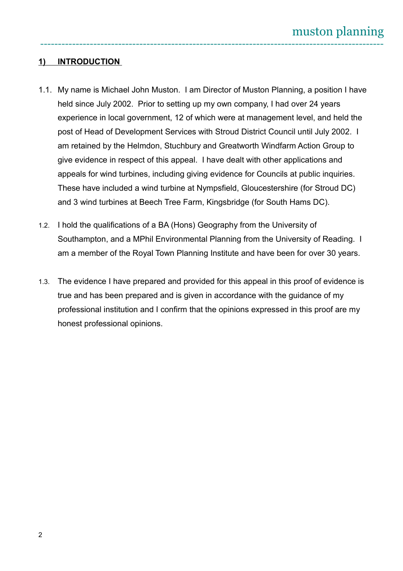## **1) INTRODUCTION**

- 1.1. My name is Michael John Muston. I am Director of Muston Planning, a position I have held since July 2002. Prior to setting up my own company, I had over 24 years experience in local government, 12 of which were at management level, and held the post of Head of Development Services with Stroud District Council until July 2002. I am retained by the Helmdon, Stuchbury and Greatworth Windfarm Action Group to give evidence in respect of this appeal. I have dealt with other applications and appeals for wind turbines, including giving evidence for Councils at public inquiries. These have included a wind turbine at Nympsfield, Gloucestershire (for Stroud DC) and 3 wind turbines at Beech Tree Farm, Kingsbridge (for South Hams DC).
- 1.2. I hold the qualifications of a BA (Hons) Geography from the University of Southampton, and a MPhil Environmental Planning from the University of Reading. I am a member of the Royal Town Planning Institute and have been for over 30 years.
- 1.3. The evidence I have prepared and provided for this appeal in this proof of evidence is true and has been prepared and is given in accordance with the guidance of my professional institution and I confirm that the opinions expressed in this proof are my honest professional opinions.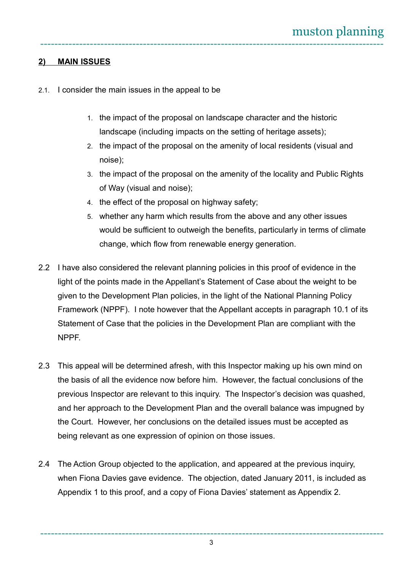## **2) MAIN ISSUES**

- 2.1. I consider the main issues in the appeal to be
	- 1. the impact of the proposal on landscape character and the historic landscape (including impacts on the setting of heritage assets);
	- 2. the impact of the proposal on the amenity of local residents (visual and noise);
	- 3. the impact of the proposal on the amenity of the locality and Public Rights of Way (visual and noise);
	- 4. the effect of the proposal on highway safety;
	- 5. whether any harm which results from the above and any other issues would be sufficient to outweigh the benefits, particularly in terms of climate change, which flow from renewable energy generation.
- 2.2 I have also considered the relevant planning policies in this proof of evidence in the light of the points made in the Appellant's Statement of Case about the weight to be given to the Development Plan policies, in the light of the National Planning Policy Framework (NPPF). I note however that the Appellant accepts in paragraph 10.1 of its Statement of Case that the policies in the Development Plan are compliant with the NPPF.
- 2.3 This appeal will be determined afresh, with this Inspector making up his own mind on the basis of all the evidence now before him. However, the factual conclusions of the previous Inspector are relevant to this inquiry. The Inspector's decision was quashed, and her approach to the Development Plan and the overall balance was impugned by the Court. However, her conclusions on the detailed issues must be accepted as being relevant as one expression of opinion on those issues.
- 2.4 The Action Group objected to the application, and appeared at the previous inquiry. when Fiona Davies gave evidence. The objection, dated January 2011, is included as Appendix 1 to this proof, and a copy of Fiona Davies' statement as Appendix 2.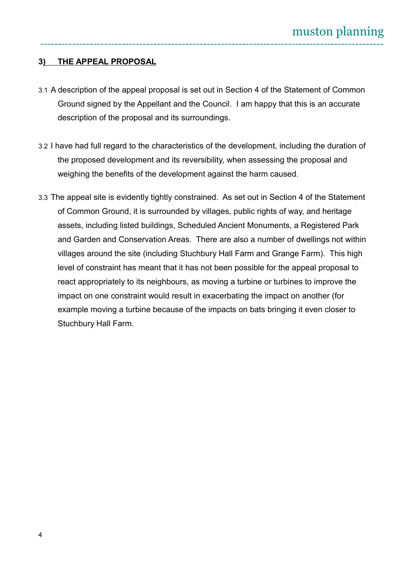## **3) THE APPEAL PROPOSAL**

- 3.1 A description of the appeal proposal is set out in Section 4 of the Statement of Common Ground signed by the Appellant and the Council. I am happy that this is an accurate description of the proposal and its surroundings.
- 3.2 I have had full regard to the characteristics of the development, including the duration of the proposed development and its reversibility, when assessing the proposal and weighing the benefits of the development against the harm caused.
- 3.3 The appeal site is evidently tightly constrained. As set out in Section 4 of the Statement of Common Ground, it is surrounded by villages, public rights of way, and heritage assets, including listed buildings, Scheduled Ancient Monuments, a Registered Park and Garden and Conservation Areas. There are also a number of dwellings not within villages around the site (including Stuchbury Hall Farm and Grange Farm). This high level of constraint has meant that it has not been possible for the appeal proposal to react appropriately to its neighbours, as moving a turbine or turbines to improve the impact on one constraint would result in exacerbating the impact on another (for example moving a turbine because of the impacts on bats bringing it even closer to Stuchbury Hall Farm.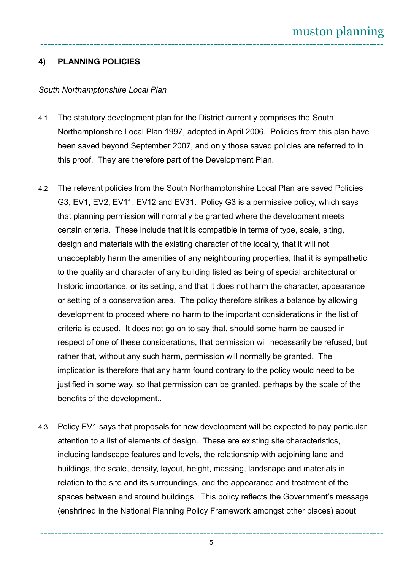## **4) PLANNING POLICIES**

#### *South Northamptonshire Local Plan*

- 4.1 The statutory development plan for the District currently comprises the South Northamptonshire Local Plan 1997, adopted in April 2006. Policies from this plan have been saved beyond September 2007, and only those saved policies are referred to in this proof. They are therefore part of the Development Plan.
- 4.2 The relevant policies from the South Northamptonshire Local Plan are saved Policies G3, EV1, EV2, EV11, EV12 and EV31. Policy G3 is a permissive policy, which says that planning permission will normally be granted where the development meets certain criteria. These include that it is compatible in terms of type, scale, siting, design and materials with the existing character of the locality, that it will not unacceptably harm the amenities of any neighbouring properties, that it is sympathetic to the quality and character of any building listed as being of special architectural or historic importance, or its setting, and that it does not harm the character, appearance or setting of a conservation area. The policy therefore strikes a balance by allowing development to proceed where no harm to the important considerations in the list of criteria is caused. It does not go on to say that, should some harm be caused in respect of one of these considerations, that permission will necessarily be refused, but rather that, without any such harm, permission will normally be granted. The implication is therefore that any harm found contrary to the policy would need to be justified in some way, so that permission can be granted, perhaps by the scale of the benefits of the development..
- 4.3 Policy EV1 says that proposals for new development will be expected to pay particular attention to a list of elements of design. These are existing site characteristics, including landscape features and levels, the relationship with adjoining land and buildings, the scale, density, layout, height, massing, landscape and materials in relation to the site and its surroundings, and the appearance and treatment of the spaces between and around buildings. This policy reflects the Government's message (enshrined in the National Planning Policy Framework amongst other places) about

------------------------------------------------------------------------------------------------- 5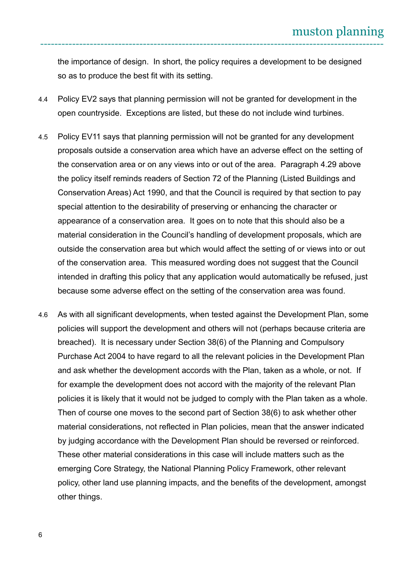the importance of design. In short, the policy requires a development to be designed so as to produce the best fit with its setting.

- 4.4 Policy EV2 says that planning permission will not be granted for development in the open countryside. Exceptions are listed, but these do not include wind turbines.
- 4.5 Policy EV11 says that planning permission will not be granted for any development proposals outside a conservation area which have an adverse effect on the setting of the conservation area or on any views into or out of the area. Paragraph 4.29 above the policy itself reminds readers of Section 72 of the Planning (Listed Buildings and Conservation Areas) Act 1990, and that the Council is required by that section to pay special attention to the desirability of preserving or enhancing the character or appearance of a conservation area. It goes on to note that this should also be a material consideration in the Council's handling of development proposals, which are outside the conservation area but which would affect the setting of or views into or out of the conservation area. This measured wording does not suggest that the Council intended in drafting this policy that any application would automatically be refused, just because some adverse effect on the setting of the conservation area was found.
- 4.6 As with all significant developments, when tested against the Development Plan, some policies will support the development and others will not (perhaps because criteria are breached). It is necessary under Section 38(6) of the Planning and Compulsory Purchase Act 2004 to have regard to all the relevant policies in the Development Plan and ask whether the development accords with the Plan, taken as a whole, or not. If for example the development does not accord with the majority of the relevant Plan policies it is likely that it would not be judged to comply with the Plan taken as a whole. Then of course one moves to the second part of Section 38(6) to ask whether other material considerations, not reflected in Plan policies, mean that the answer indicated by judging accordance with the Development Plan should be reversed or reinforced. These other material considerations in this case will include matters such as the emerging Core Strategy, the National Planning Policy Framework, other relevant policy, other land use planning impacts, and the benefits of the development, amongst other things.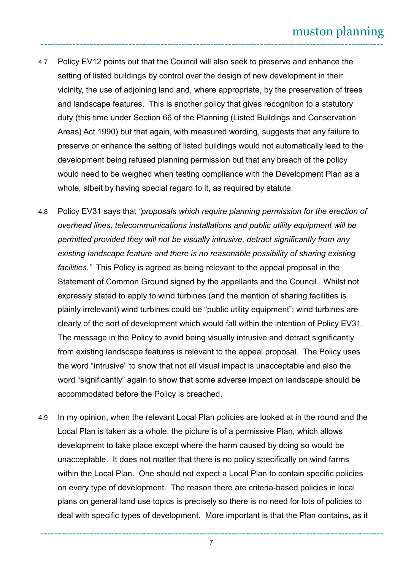- 4.7 Policy EV12 points out that the Council will also seek to preserve and enhance the setting of listed buildings by control over the design of new development in their vicinity, the use of adjoining land and, where appropriate, by the preservation of trees and landscape features. This is another policy that gives recognition to a statutory duty (this time under Section 66 of the Planning (Listed Buildings and Conservation Areas) Act 1990) but that again, with measured wording, suggests that any failure to preserve or enhance the setting of listed buildings would not automatically lead to the development being refused planning permission but that any breach of the policy would need to be weighed when testing compliance with the Development Plan as a whole, albeit by having special regard to it, as required by statute.
- 4.8 Policy EV31 says that *"proposals which require planning permission for the erection of overhead lines, telecommunications installations and public utility equipment will be permitted provided they will not be visually intrusive, detract significantly from any existing landscape feature and there is no reasonable possibility of sharing existing facilities."* This Policy is agreed as being relevant to the appeal proposal in the Statement of Common Ground signed by the appellants and the Council. Whilst not expressly stated to apply to wind turbines (and the mention of sharing facilities is plainly irrelevant) wind turbines could be "public utility equipment"; wind turbines are clearly of the sort of development which would fall within the intention of Policy EV31. The message in the Policy to avoid being visually intrusive and detract significantly from existing landscape features is relevant to the appeal proposal. The Policy uses the word "intrusive" to show that not all visual impact is unacceptable and also the word "significantly" again to show that some adverse impact on landscape should be accommodated before the Policy is breached.
- 4.9 In my opinion, when the relevant Local Plan policies are looked at in the round and the Local Plan is taken as a whole, the picture is of a permissive Plan, which allows development to take place except where the harm caused by doing so would be unacceptable. It does not matter that there is no policy specifically on wind farms within the Local Plan. One should not expect a Local Plan to contain specific policies on every type of development. The reason there are criteria-based policies in local plans on general land use topics is precisely so there is no need for lots of policies to deal with specific types of development. More important is that the Plan contains, as it

------------------------------------------------------------------------------------------------- 7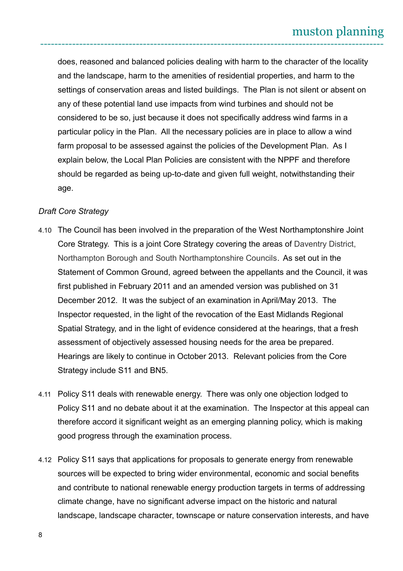does, reasoned and balanced policies dealing with harm to the character of the locality and the landscape, harm to the amenities of residential properties, and harm to the settings of conservation areas and listed buildings. The Plan is not silent or absent on any of these potential land use impacts from wind turbines and should not be considered to be so, just because it does not specifically address wind farms in a particular policy in the Plan. All the necessary policies are in place to allow a wind farm proposal to be assessed against the policies of the Development Plan. As I explain below, the Local Plan Policies are consistent with the NPPF and therefore should be regarded as being up-to-date and given full weight, notwithstanding their age.

#### *Draft Core Strategy*

- 4.10 The Council has been involved in the preparation of the West Northamptonshire Joint Core Strategy. This is a joint Core Strategy covering the areas of Daventry District, Northampton Borough and South Northamptonshire Councils. As set out in the Statement of Common Ground, agreed between the appellants and the Council, it was first published in February 2011 and an amended version was published on 31 December 2012. It was the subject of an examination in April/May 2013. The Inspector requested, in the light of the revocation of the East Midlands Regional Spatial Strategy, and in the light of evidence considered at the hearings, that a fresh assessment of objectively assessed housing needs for the area be prepared. Hearings are likely to continue in October 2013. Relevant policies from the Core Strategy include S11 and BN5.
- 4.11 Policy S11 deals with renewable energy. There was only one objection lodged to Policy S11 and no debate about it at the examination. The Inspector at this appeal can therefore accord it significant weight as an emerging planning policy, which is making good progress through the examination process.
- 4.12 Policy S11 says that applications for proposals to generate energy from renewable sources will be expected to bring wider environmental, economic and social benefits and contribute to national renewable energy production targets in terms of addressing climate change, have no significant adverse impact on the historic and natural landscape, landscape character, townscape or nature conservation interests, and have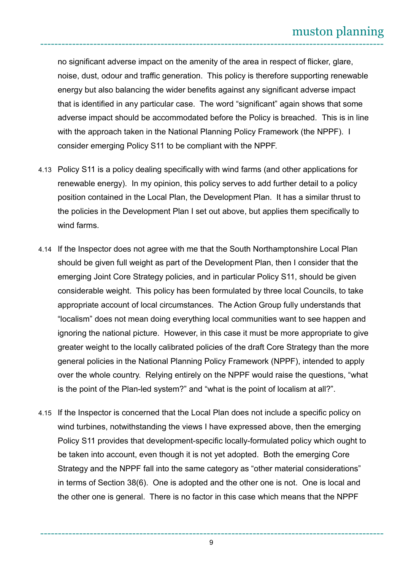no significant adverse impact on the amenity of the area in respect of flicker, glare, noise, dust, odour and traffic generation. This policy is therefore supporting renewable energy but also balancing the wider benefits against any significant adverse impact that is identified in any particular case. The word "significant" again shows that some adverse impact should be accommodated before the Policy is breached. This is in line with the approach taken in the National Planning Policy Framework (the NPPF). I consider emerging Policy S11 to be compliant with the NPPF.

- 4.13 Policy S11 is a policy dealing specifically with wind farms (and other applications for renewable energy). In my opinion, this policy serves to add further detail to a policy position contained in the Local Plan, the Development Plan. It has a similar thrust to the policies in the Development Plan I set out above, but applies them specifically to wind farms.
- 4.14 If the Inspector does not agree with me that the South Northamptonshire Local Plan should be given full weight as part of the Development Plan, then I consider that the emerging Joint Core Strategy policies, and in particular Policy S11, should be given considerable weight. This policy has been formulated by three local Councils, to take appropriate account of local circumstances. The Action Group fully understands that "localism" does not mean doing everything local communities want to see happen and ignoring the national picture. However, in this case it must be more appropriate to give greater weight to the locally calibrated policies of the draft Core Strategy than the more general policies in the National Planning Policy Framework (NPPF), intended to apply over the whole country. Relying entirely on the NPPF would raise the questions, "what is the point of the Plan-led system?" and "what is the point of localism at all?".
- 4.15 If the Inspector is concerned that the Local Plan does not include a specific policy on wind turbines, notwithstanding the views I have expressed above, then the emerging Policy S11 provides that development-specific locally-formulated policy which ought to be taken into account, even though it is not yet adopted. Both the emerging Core Strategy and the NPPF fall into the same category as "other material considerations" in terms of Section 38(6). One is adopted and the other one is not. One is local and the other one is general. There is no factor in this case which means that the NPPF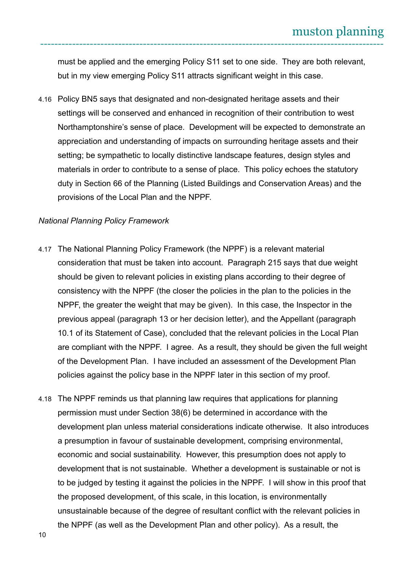must be applied and the emerging Policy S11 set to one side. They are both relevant, but in my view emerging Policy S11 attracts significant weight in this case.

4.16 Policy BN5 says that designated and non-designated heritage assets and their settings will be conserved and enhanced in recognition of their contribution to west Northamptonshire's sense of place. Development will be expected to demonstrate an appreciation and understanding of impacts on surrounding heritage assets and their setting; be sympathetic to locally distinctive landscape features, design styles and materials in order to contribute to a sense of place. This policy echoes the statutory duty in Section 66 of the Planning (Listed Buildings and Conservation Areas) and the provisions of the Local Plan and the NPPF.

#### *National Planning Policy Framework*

- 4.17 The National Planning Policy Framework (the NPPF) is a relevant material consideration that must be taken into account. Paragraph 215 says that due weight should be given to relevant policies in existing plans according to their degree of consistency with the NPPF (the closer the policies in the plan to the policies in the NPPF, the greater the weight that may be given). In this case, the Inspector in the previous appeal (paragraph 13 or her decision letter), and the Appellant (paragraph 10.1 of its Statement of Case), concluded that the relevant policies in the Local Plan are compliant with the NPPF. I agree. As a result, they should be given the full weight of the Development Plan. I have included an assessment of the Development Plan policies against the policy base in the NPPF later in this section of my proof.
- 4.18 The NPPF reminds us that planning law requires that applications for planning permission must under Section 38(6) be determined in accordance with the development plan unless material considerations indicate otherwise. It also introduces a presumption in favour of sustainable development, comprising environmental, economic and social sustainability. However, this presumption does not apply to development that is not sustainable. Whether a development is sustainable or not is to be judged by testing it against the policies in the NPPF. I will show in this proof that the proposed development, of this scale, in this location, is environmentally unsustainable because of the degree of resultant conflict with the relevant policies in the NPPF (as well as the Development Plan and other policy). As a result, the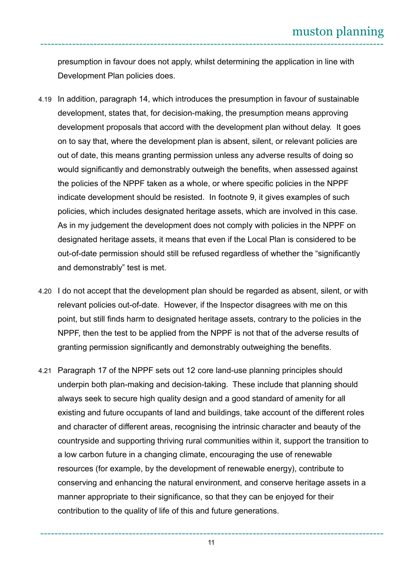presumption in favour does not apply, whilst determining the application in line with Development Plan policies does.

- 4.19 In addition, paragraph 14, which introduces the presumption in favour of sustainable development, states that, for decision-making, the presumption means approving development proposals that accord with the development plan without delay. It goes on to say that, where the development plan is absent, silent, or relevant policies are out of date, this means granting permission unless any adverse results of doing so would significantly and demonstrably outweigh the benefits, when assessed against the policies of the NPPF taken as a whole, or where specific policies in the NPPF indicate development should be resisted. In footnote 9, it gives examples of such policies, which includes designated heritage assets, which are involved in this case. As in my judgement the development does not comply with policies in the NPPF on designated heritage assets, it means that even if the Local Plan is considered to be out-of-date permission should still be refused regardless of whether the "significantly and demonstrably" test is met.
- 4.20 I do not accept that the development plan should be regarded as absent, silent, or with relevant policies out-of-date. However, if the Inspector disagrees with me on this point, but still finds harm to designated heritage assets, contrary to the policies in the NPPF, then the test to be applied from the NPPF is not that of the adverse results of granting permission significantly and demonstrably outweighing the benefits.
- 4.21 Paragraph 17 of the NPPF sets out 12 core land-use planning principles should underpin both plan-making and decision-taking. These include that planning should always seek to secure high quality design and a good standard of amenity for all existing and future occupants of land and buildings, take account of the different roles and character of different areas, recognising the intrinsic character and beauty of the countryside and supporting thriving rural communities within it, support the transition to a low carbon future in a changing climate, encouraging the use of renewable resources (for example, by the development of renewable energy), contribute to conserving and enhancing the natural environment, and conserve heritage assets in a manner appropriate to their significance, so that they can be enjoyed for their contribution to the quality of life of this and future generations.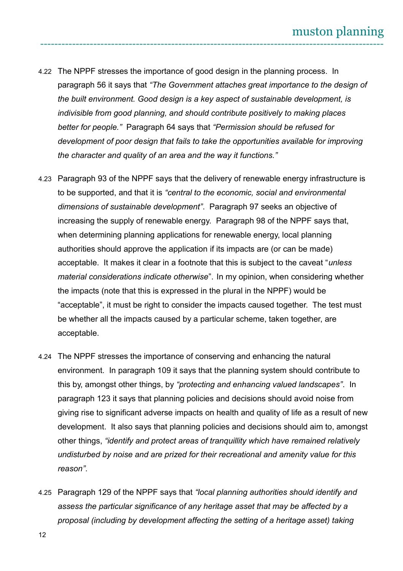- 4.22 The NPPF stresses the importance of good design in the planning process. In paragraph 56 it says that *"The Government attaches great importance to the design of the built environment. Good design is a key aspect of sustainable development, is indivisible from good planning, and should contribute positively to making places better for people."* Paragraph 64 says that *"Permission should be refused for development of poor design that fails to take the opportunities available for improving the character and quality of an area and the way it functions."*
- 4.23 Paragraph 93 of the NPPF says that the delivery of renewable energy infrastructure is to be supported, and that it is *"central to the economic, social and environmental dimensions of sustainable development"*. Paragraph 97 seeks an objective of increasing the supply of renewable energy. Paragraph 98 of the NPPF says that, when determining planning applications for renewable energy, local planning authorities should approve the application if its impacts are (or can be made) acceptable. It makes it clear in a footnote that this is subject to the caveat "*unless material considerations indicate otherwise*". In my opinion, when considering whether the impacts (note that this is expressed in the plural in the NPPF) would be "acceptable", it must be right to consider the impacts caused together. The test must be whether all the impacts caused by a particular scheme, taken together, are acceptable.
- 4.24 The NPPF stresses the importance of conserving and enhancing the natural environment. In paragraph 109 it says that the planning system should contribute to this by, amongst other things, by *"protecting and enhancing valued landscapes"*. In paragraph 123 it says that planning policies and decisions should avoid noise from giving rise to significant adverse impacts on health and quality of life as a result of new development. It also says that planning policies and decisions should aim to, amongst other things, *"identify and protect areas of tranquillity which have remained relatively undisturbed by noise and are prized for their recreational and amenity value for this reason"*.
- 4.25 Paragraph 129 of the NPPF says that *"local planning authorities should identify and assess the particular significance of any heritage asset that may be affected by a proposal (including by development affecting the setting of a heritage asset) taking*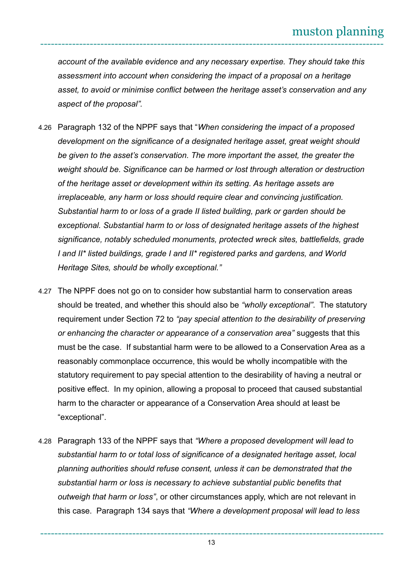*account of the available evidence and any necessary expertise. They should take this assessment into account when considering the impact of a proposal on a heritage asset, to avoid or minimise conflict between the heritage asset's conservation and any aspect of the proposal".*

- 4.26 Paragraph 132 of the NPPF says that "*When considering the impact of a proposed development on the significance of a designated heritage asset, great weight should be given to the asset's conservation. The more important the asset, the greater the weight should be. Significance can be harmed or lost through alteration or destruction of the heritage asset or development within its setting. As heritage assets are irreplaceable, any harm or loss should require clear and convincing justification. Substantial harm to or loss of a grade II listed building, park or garden should be exceptional. Substantial harm to or loss of designated heritage assets of the highest significance, notably scheduled monuments, protected wreck sites, battlefields, grade I and II\* listed buildings, grade I and II\* registered parks and gardens, and World Heritage Sites, should be wholly exceptional."*
- 4.27 The NPPF does not go on to consider how substantial harm to conservation areas should be treated, and whether this should also be *"wholly exceptional"*. The statutory requirement under Section 72 to *"pay special attention to the desirability of preserving or enhancing the character or appearance of a conservation area"* suggests that this must be the case. If substantial harm were to be allowed to a Conservation Area as a reasonably commonplace occurrence, this would be wholly incompatible with the statutory requirement to pay special attention to the desirability of having a neutral or positive effect. In my opinion, allowing a proposal to proceed that caused substantial harm to the character or appearance of a Conservation Area should at least be "exceptional".
- 4.28 Paragraph 133 of the NPPF says that *"Where a proposed development will lead to substantial harm to or total loss of significance of a designated heritage asset, local planning authorities should refuse consent, unless it can be demonstrated that the substantial harm or loss is necessary to achieve substantial public benefits that outweigh that harm or loss"*, or other circumstances apply, which are not relevant in this case. Paragraph 134 says that *"Where a development proposal will lead to less*

------------------------------------------------------------------------------------------------- 13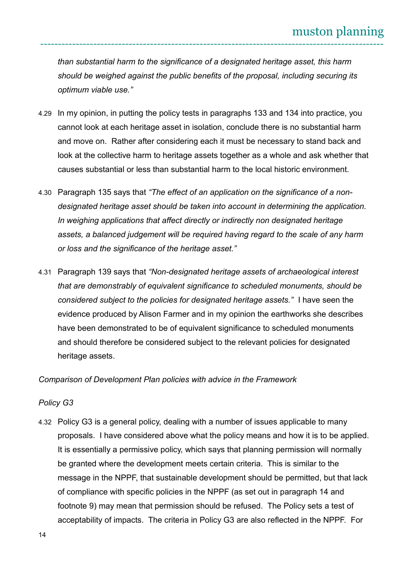*than substantial harm to the significance of a designated heritage asset, this harm should be weighed against the public benefits of the proposal, including securing its optimum viable use."*

- 4.29 In my opinion, in putting the policy tests in paragraphs 133 and 134 into practice, you cannot look at each heritage asset in isolation, conclude there is no substantial harm and move on. Rather after considering each it must be necessary to stand back and look at the collective harm to heritage assets together as a whole and ask whether that causes substantial or less than substantial harm to the local historic environment.
- 4.30 Paragraph 135 says that *"The effect of an application on the significance of a nondesignated heritage asset should be taken into account in determining the application. In weighing applications that affect directly or indirectly non designated heritage assets, a balanced judgement will be required having regard to the scale of any harm or loss and the significance of the heritage asset."*
- 4.31 Paragraph 139 says that *"Non-designated heritage assets of archaeological interest that are demonstrably of equivalent significance to scheduled monuments, should be considered subject to the policies for designated heritage assets."* I have seen the evidence produced by Alison Farmer and in my opinion the earthworks she describes have been demonstrated to be of equivalent significance to scheduled monuments and should therefore be considered subject to the relevant policies for designated heritage assets.

*Comparison of Development Plan policies with advice in the Framework*

#### *Policy G3*

4.32 Policy G3 is a general policy, dealing with a number of issues applicable to many proposals. I have considered above what the policy means and how it is to be applied. It is essentially a permissive policy, which says that planning permission will normally be granted where the development meets certain criteria. This is similar to the message in the NPPF, that sustainable development should be permitted, but that lack of compliance with specific policies in the NPPF (as set out in paragraph 14 and footnote 9) may mean that permission should be refused. The Policy sets a test of acceptability of impacts. The criteria in Policy G3 are also reflected in the NPPF. For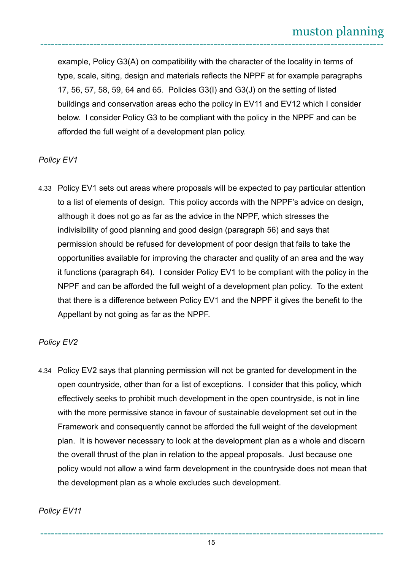example, Policy G3(A) on compatibility with the character of the locality in terms of type, scale, siting, design and materials reflects the NPPF at for example paragraphs 17, 56, 57, 58, 59, 64 and 65. Policies G3(I) and G3(J) on the setting of listed buildings and conservation areas echo the policy in EV11 and EV12 which I consider below. I consider Policy G3 to be compliant with the policy in the NPPF and can be afforded the full weight of a development plan policy.

## *Policy EV1*

4.33 Policy EV1 sets out areas where proposals will be expected to pay particular attention to a list of elements of design. This policy accords with the NPPF's advice on design, although it does not go as far as the advice in the NPPF, which stresses the indivisibility of good planning and good design (paragraph 56) and says that permission should be refused for development of poor design that fails to take the opportunities available for improving the character and quality of an area and the way it functions (paragraph 64). I consider Policy EV1 to be compliant with the policy in the NPPF and can be afforded the full weight of a development plan policy. To the extent that there is a difference between Policy EV1 and the NPPF it gives the benefit to the Appellant by not going as far as the NPPF.

#### *Policy EV2*

4.34 Policy EV2 says that planning permission will not be granted for development in the open countryside, other than for a list of exceptions. I consider that this policy, which effectively seeks to prohibit much development in the open countryside, is not in line with the more permissive stance in favour of sustainable development set out in the Framework and consequently cannot be afforded the full weight of the development plan. It is however necessary to look at the development plan as a whole and discern the overall thrust of the plan in relation to the appeal proposals. Just because one policy would not allow a wind farm development in the countryside does not mean that the development plan as a whole excludes such development.

#### *Policy EV11*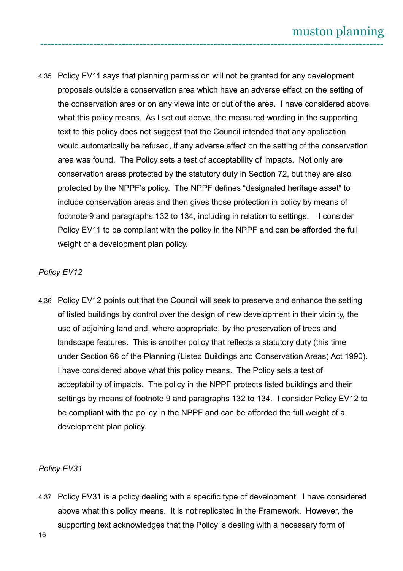4.35 Policy EV11 says that planning permission will not be granted for any development proposals outside a conservation area which have an adverse effect on the setting of the conservation area or on any views into or out of the area. I have considered above what this policy means. As I set out above, the measured wording in the supporting text to this policy does not suggest that the Council intended that any application would automatically be refused, if any adverse effect on the setting of the conservation area was found. The Policy sets a test of acceptability of impacts. Not only are conservation areas protected by the statutory duty in Section 72, but they are also protected by the NPPF's policy. The NPPF defines "designated heritage asset" to include conservation areas and then gives those protection in policy by means of footnote 9 and paragraphs 132 to 134, including in relation to settings. I consider Policy EV11 to be compliant with the policy in the NPPF and can be afforded the full weight of a development plan policy.

## *Policy EV12*

4.36 Policy EV12 points out that the Council will seek to preserve and enhance the setting of listed buildings by control over the design of new development in their vicinity, the use of adjoining land and, where appropriate, by the preservation of trees and landscape features. This is another policy that reflects a statutory duty (this time under Section 66 of the Planning (Listed Buildings and Conservation Areas) Act 1990). I have considered above what this policy means. The Policy sets a test of acceptability of impacts. The policy in the NPPF protects listed buildings and their settings by means of footnote 9 and paragraphs 132 to 134. I consider Policy EV12 to be compliant with the policy in the NPPF and can be afforded the full weight of a development plan policy.

## *Policy EV31*

4.37 Policy EV31 is a policy dealing with a specific type of development. I have considered above what this policy means. It is not replicated in the Framework. However, the supporting text acknowledges that the Policy is dealing with a necessary form of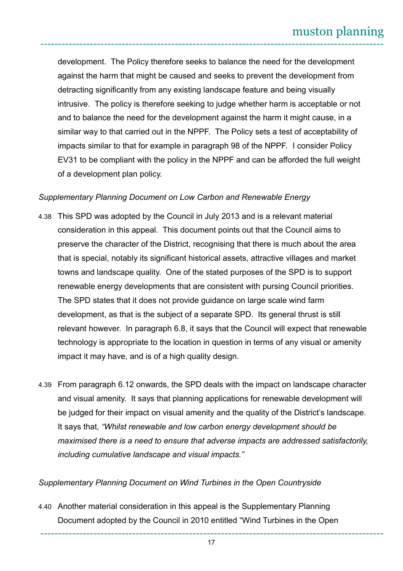development. The Policy therefore seeks to balance the need for the development against the harm that might be caused and seeks to prevent the development from detracting significantly from any existing landscape feature and being visually intrusive. The policy is therefore seeking to judge whether harm is acceptable or not and to balance the need for the development against the harm it might cause, in a similar way to that carried out in the NPPF. The Policy sets a test of acceptability of impacts similar to that for example in paragraph 98 of the NPPF. I consider Policy EV31 to be compliant with the policy in the NPPF and can be afforded the full weight of a development plan policy.

#### *Supplementary Planning Document on Low Carbon and Renewable Energy*

- 4.38 This SPD was adopted by the Council in July 2013 and is a relevant material consideration in this appeal. This document points out that the Council aims to preserve the character of the District, recognising that there is much about the area that is special, notably its significant historical assets, attractive villages and market towns and landscape quality. One of the stated purposes of the SPD is to support renewable energy developments that are consistent with pursing Council priorities. The SPD states that it does not provide guidance on large scale wind farm development, as that is the subject of a separate SPD. Its general thrust is still relevant however. In paragraph 6.8, it says that the Council will expect that renewable technology is appropriate to the location in question in terms of any visual or amenity impact it may have, and is of a high quality design.
- 4.39 From paragraph 6.12 onwards, the SPD deals with the impact on landscape character and visual amenity. It says that planning applications for renewable development will be judged for their impact on visual amenity and the quality of the District's landscape. It says that, *"Whilst renewable and low carbon energy development should be maximised there is a need to ensure that adverse impacts are addressed satisfactorily, including cumulative landscape and visual impacts."*

#### *Supplementary Planning Document on Wind Turbines in the Open Countryside*

4.40 Another material consideration in this appeal is the Supplementary Planning Document adopted by the Council in 2010 entitled "Wind Turbines in the Open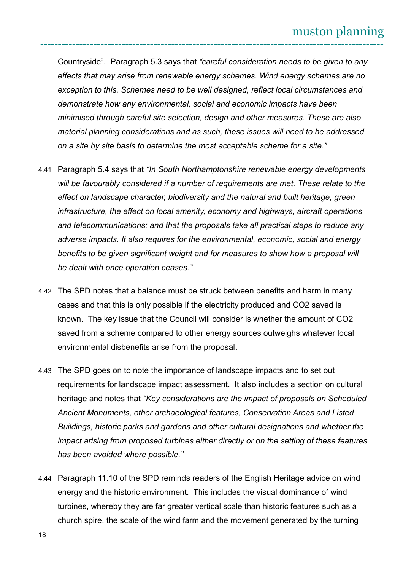Countryside". Paragraph 5.3 says that *"careful consideration needs to be given to any effects that may arise from renewable energy schemes. Wind energy schemes are no exception to this. Schemes need to be well designed, reflect local circumstances and demonstrate how any environmental, social and economic impacts have been minimised through careful site selection, design and other measures. These are also material planning considerations and as such, these issues will need to be addressed on a site by site basis to determine the most acceptable scheme for a site."*

- 4.41 Paragraph 5.4 says that *"In South Northamptonshire renewable energy developments will be favourably considered if a number of requirements are met. These relate to the effect on landscape character, biodiversity and the natural and built heritage, green infrastructure, the effect on local amenity, economy and highways, aircraft operations and telecommunications; and that the proposals take all practical steps to reduce any adverse impacts. It also requires for the environmental, economic, social and energy*  benefits to be given significant weight and for measures to show how a proposal will *be dealt with once operation ceases."*
- 4.42 The SPD notes that a balance must be struck between benefits and harm in many cases and that this is only possible if the electricity produced and CO2 saved is known. The key issue that the Council will consider is whether the amount of CO2 saved from a scheme compared to other energy sources outweighs whatever local environmental disbenefits arise from the proposal.
- 4.43 The SPD goes on to note the importance of landscape impacts and to set out requirements for landscape impact assessment. It also includes a section on cultural heritage and notes that *"Key considerations are the impact of proposals on Scheduled Ancient Monuments, other archaeological features, Conservation Areas and Listed Buildings, historic parks and gardens and other cultural designations and whether the impact arising from proposed turbines either directly or on the setting of these features has been avoided where possible."*
- 4.44 Paragraph 11.10 of the SPD reminds readers of the English Heritage advice on wind energy and the historic environment. This includes the visual dominance of wind turbines, whereby they are far greater vertical scale than historic features such as a church spire, the scale of the wind farm and the movement generated by the turning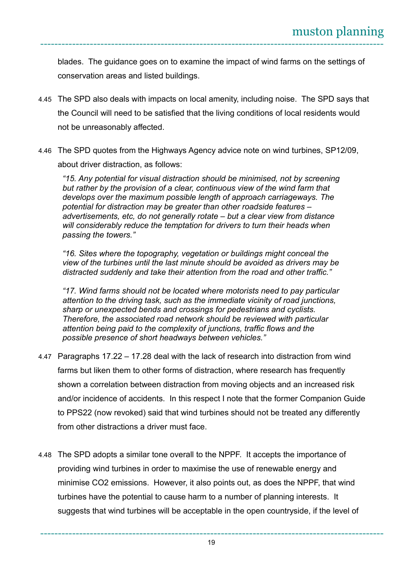blades. The guidance goes on to examine the impact of wind farms on the settings of conservation areas and listed buildings.

- 4.45 The SPD also deals with impacts on local amenity, including noise. The SPD says that the Council will need to be satisfied that the living conditions of local residents would not be unreasonably affected.
- 4.46 The SPD quotes from the Highways Agency advice note on wind turbines, SP12/09, about driver distraction, as follows:

*"15. Any potential for visual distraction should be minimised, not by screening but rather by the provision of a clear, continuous view of the wind farm that develops over the maximum possible length of approach carriageways. The potential for distraction may be greater than other roadside features – advertisements, etc, do not generally rotate – but a clear view from distance will considerably reduce the temptation for drivers to turn their heads when passing the towers."*

*"16. Sites where the topography, vegetation or buildings might conceal the view of the turbines until the last minute should be avoided as drivers may be distracted suddenly and take their attention from the road and other traffic."*

*"17. Wind farms should not be located where motorists need to pay particular attention to the driving task, such as the immediate vicinity of road junctions, sharp or unexpected bends and crossings for pedestrians and cyclists. Therefore, the associated road network should be reviewed with particular attention being paid to the complexity of junctions, traffic flows and the possible presence of short headways between vehicles."*

- 4.47 Paragraphs 17.22 17.28 deal with the lack of research into distraction from wind farms but liken them to other forms of distraction, where research has frequently shown a correlation between distraction from moving objects and an increased risk and/or incidence of accidents. In this respect I note that the former Companion Guide to PPS22 (now revoked) said that wind turbines should not be treated any differently from other distractions a driver must face.
- 4.48 The SPD adopts a similar tone overall to the NPPF. It accepts the importance of providing wind turbines in order to maximise the use of renewable energy and minimise CO2 emissions. However, it also points out, as does the NPPF, that wind turbines have the potential to cause harm to a number of planning interests. It suggests that wind turbines will be acceptable in the open countryside, if the level of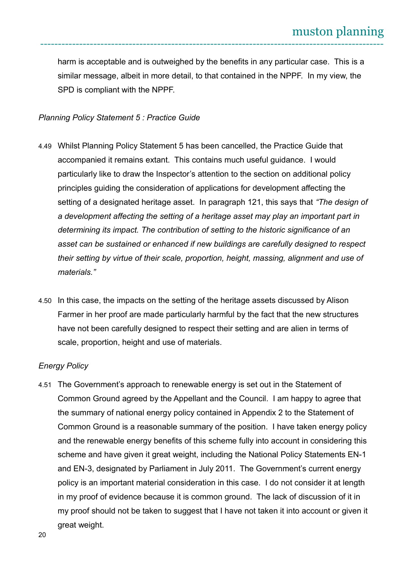harm is acceptable and is outweighed by the benefits in any particular case. This is a similar message, albeit in more detail, to that contained in the NPPF. In my view, the SPD is compliant with the NPPF.

#### *Planning Policy Statement 5 : Practice Guide*

- 4.49 Whilst Planning Policy Statement 5 has been cancelled, the Practice Guide that accompanied it remains extant. This contains much useful guidance. I would particularly like to draw the Inspector's attention to the section on additional policy principles guiding the consideration of applications for development affecting the setting of a designated heritage asset. In paragraph 121, this says that *"The design of a development affecting the setting of a heritage asset may play an important part in determining its impact. The contribution of setting to the historic significance of an asset can be sustained or enhanced if new buildings are carefully designed to respect their setting by virtue of their scale, proportion, height, massing, alignment and use of materials."*
- 4.50 In this case, the impacts on the setting of the heritage assets discussed by Alison Farmer in her proof are made particularly harmful by the fact that the new structures have not been carefully designed to respect their setting and are alien in terms of scale, proportion, height and use of materials.

#### *Energy Policy*

4.51 The Government's approach to renewable energy is set out in the Statement of Common Ground agreed by the Appellant and the Council. I am happy to agree that the summary of national energy policy contained in Appendix 2 to the Statement of Common Ground is a reasonable summary of the position. I have taken energy policy and the renewable energy benefits of this scheme fully into account in considering this scheme and have given it great weight, including the National Policy Statements EN-1 and EN-3, designated by Parliament in July 2011. The Government's current energy policy is an important material consideration in this case. I do not consider it at length in my proof of evidence because it is common ground. The lack of discussion of it in my proof should not be taken to suggest that I have not taken it into account or given it great weight.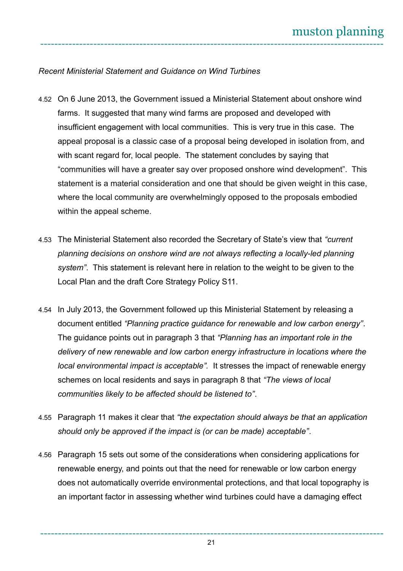#### *Recent Ministerial Statement and Guidance on Wind Turbines*

- 4.52 On 6 June 2013, the Government issued a Ministerial Statement about onshore wind farms. It suggested that many wind farms are proposed and developed with insufficient engagement with local communities. This is very true in this case. The appeal proposal is a classic case of a proposal being developed in isolation from, and with scant regard for, local people. The statement concludes by saying that "communities will have a greater say over proposed onshore wind development". This statement is a material consideration and one that should be given weight in this case, where the local community are overwhelmingly opposed to the proposals embodied within the appeal scheme.
- 4.53 The Ministerial Statement also recorded the Secretary of State's view that *"current planning decisions on onshore wind are not always reflecting a locally-led planning system"*. This statement is relevant here in relation to the weight to be given to the Local Plan and the draft Core Strategy Policy S11.
- 4.54 In July 2013, the Government followed up this Ministerial Statement by releasing a document entitled *"Planning practice guidance for renewable and low carbon energy"*. The guidance points out in paragraph 3 that *"Planning has an important role in the delivery of new renewable and low carbon energy infrastructure in locations where the local environmental impact is acceptable".* It stresses the impact of renewable energy schemes on local residents and says in paragraph 8 that *"The views of local communities likely to be affected should be listened to"*.
- 4.55 Paragraph 11 makes it clear that *"the expectation should always be that an application should only be approved if the impact is (or can be made) acceptable"*.
- 4.56 Paragraph 15 sets out some of the considerations when considering applications for renewable energy, and points out that the need for renewable or low carbon energy does not automatically override environmental protections, and that local topography is an important factor in assessing whether wind turbines could have a damaging effect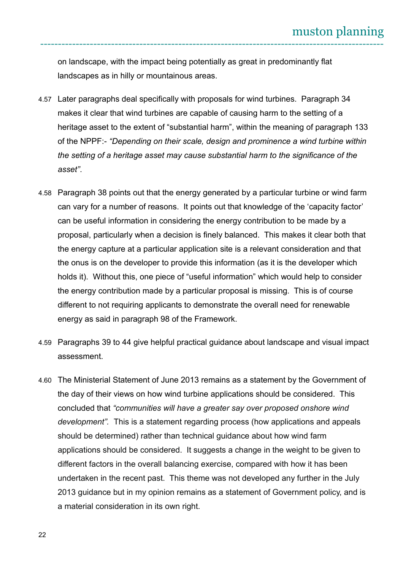on landscape, with the impact being potentially as great in predominantly flat landscapes as in hilly or mountainous areas.

- 4.57 Later paragraphs deal specifically with proposals for wind turbines. Paragraph 34 makes it clear that wind turbines are capable of causing harm to the setting of a heritage asset to the extent of "substantial harm", within the meaning of paragraph 133 of the NPPF:- *"Depending on their scale, design and prominence a wind turbine within the setting of a heritage asset may cause substantial harm to the significance of the asset"*.
- 4.58 Paragraph 38 points out that the energy generated by a particular turbine or wind farm can vary for a number of reasons. It points out that knowledge of the 'capacity factor' can be useful information in considering the energy contribution to be made by a proposal, particularly when a decision is finely balanced. This makes it clear both that the energy capture at a particular application site is a relevant consideration and that the onus is on the developer to provide this information (as it is the developer which holds it). Without this, one piece of "useful information" which would help to consider the energy contribution made by a particular proposal is missing. This is of course different to not requiring applicants to demonstrate the overall need for renewable energy as said in paragraph 98 of the Framework.
- 4.59 Paragraphs 39 to 44 give helpful practical guidance about landscape and visual impact assessment.
- 4.60 The Ministerial Statement of June 2013 remains as a statement by the Government of the day of their views on how wind turbine applications should be considered. This concluded that *"communities will have a greater say over proposed onshore wind development".* This is a statement regarding process (how applications and appeals should be determined) rather than technical guidance about how wind farm applications should be considered. It suggests a change in the weight to be given to different factors in the overall balancing exercise, compared with how it has been undertaken in the recent past. This theme was not developed any further in the July 2013 guidance but in my opinion remains as a statement of Government policy, and is a material consideration in its own right.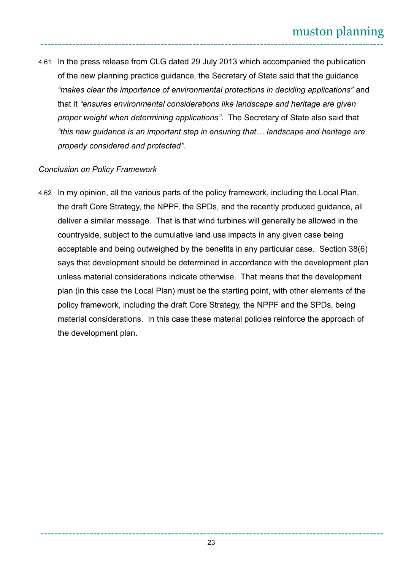4.61 In the press release from CLG dated 29 July 2013 which accompanied the publication of the new planning practice guidance, the Secretary of State said that the guidance *"makes clear the importance of environmental protections in deciding applications"* and that it *"ensures environmental considerations like landscape and heritage are given proper weight when determining applications"*. The Secretary of State also said that *"this new guidance is an important step in ensuring that… landscape and heritage are properly considered and protected"*.

## *Conclusion on Policy Framework*

4.62 In my opinion, all the various parts of the policy framework, including the Local Plan, the draft Core Strategy, the NPPF, the SPDs, and the recently produced guidance, all deliver a similar message. That is that wind turbines will generally be allowed in the countryside, subject to the cumulative land use impacts in any given case being acceptable and being outweighed by the benefits in any particular case. Section 38(6) says that development should be determined in accordance with the development plan unless material considerations indicate otherwise. That means that the development plan (in this case the Local Plan) must be the starting point, with other elements of the policy framework, including the draft Core Strategy, the NPPF and the SPDs, being material considerations. In this case these material policies reinforce the approach of the development plan.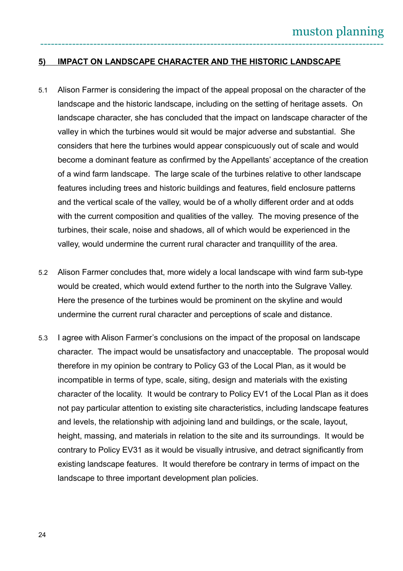### **5) IMPACT ON LANDSCAPE CHARACTER AND THE HISTORIC LANDSCAPE**

- 5.1 Alison Farmer is considering the impact of the appeal proposal on the character of the landscape and the historic landscape, including on the setting of heritage assets. On landscape character, she has concluded that the impact on landscape character of the valley in which the turbines would sit would be major adverse and substantial. She considers that here the turbines would appear conspicuously out of scale and would become a dominant feature as confirmed by the Appellants' acceptance of the creation of a wind farm landscape. The large scale of the turbines relative to other landscape features including trees and historic buildings and features, field enclosure patterns and the vertical scale of the valley, would be of a wholly different order and at odds with the current composition and qualities of the valley. The moving presence of the turbines, their scale, noise and shadows, all of which would be experienced in the valley, would undermine the current rural character and tranquillity of the area.
- 5.2 Alison Farmer concludes that, more widely a local landscape with wind farm sub-type would be created, which would extend further to the north into the Sulgrave Valley. Here the presence of the turbines would be prominent on the skyline and would undermine the current rural character and perceptions of scale and distance.
- 5.3 I agree with Alison Farmer's conclusions on the impact of the proposal on landscape character. The impact would be unsatisfactory and unacceptable. The proposal would therefore in my opinion be contrary to Policy G3 of the Local Plan, as it would be incompatible in terms of type, scale, siting, design and materials with the existing character of the locality. It would be contrary to Policy EV1 of the Local Plan as it does not pay particular attention to existing site characteristics, including landscape features and levels, the relationship with adjoining land and buildings, or the scale, layout, height, massing, and materials in relation to the site and its surroundings. It would be contrary to Policy EV31 as it would be visually intrusive, and detract significantly from existing landscape features. It would therefore be contrary in terms of impact on the landscape to three important development plan policies.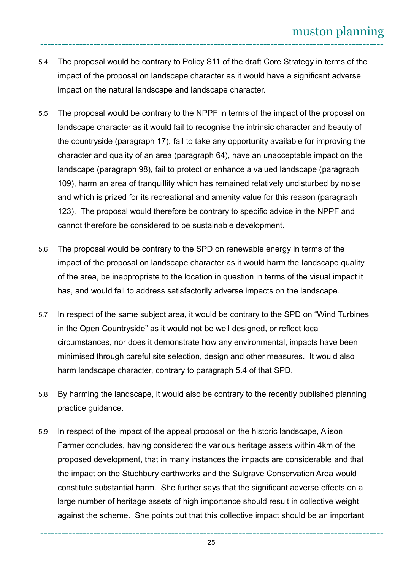- 5.4 The proposal would be contrary to Policy S11 of the draft Core Strategy in terms of the impact of the proposal on landscape character as it would have a significant adverse impact on the natural landscape and landscape character.
- 5.5 The proposal would be contrary to the NPPF in terms of the impact of the proposal on landscape character as it would fail to recognise the intrinsic character and beauty of the countryside (paragraph 17), fail to take any opportunity available for improving the character and quality of an area (paragraph 64), have an unacceptable impact on the landscape (paragraph 98), fail to protect or enhance a valued landscape (paragraph 109), harm an area of tranquillity which has remained relatively undisturbed by noise and which is prized for its recreational and amenity value for this reason (paragraph 123). The proposal would therefore be contrary to specific advice in the NPPF and cannot therefore be considered to be sustainable development.
- 5.6 The proposal would be contrary to the SPD on renewable energy in terms of the impact of the proposal on landscape character as it would harm the landscape quality of the area, be inappropriate to the location in question in terms of the visual impact it has, and would fail to address satisfactorily adverse impacts on the landscape.
- 5.7 In respect of the same subject area, it would be contrary to the SPD on "Wind Turbines in the Open Countryside" as it would not be well designed, or reflect local circumstances, nor does it demonstrate how any environmental, impacts have been minimised through careful site selection, design and other measures. It would also harm landscape character, contrary to paragraph 5.4 of that SPD.
- 5.8 By harming the landscape, it would also be contrary to the recently published planning practice guidance.
- 5.9 In respect of the impact of the appeal proposal on the historic landscape, Alison Farmer concludes, having considered the various heritage assets within 4km of the proposed development, that in many instances the impacts are considerable and that the impact on the Stuchbury earthworks and the Sulgrave Conservation Area would constitute substantial harm. She further says that the significant adverse effects on a large number of heritage assets of high importance should result in collective weight against the scheme. She points out that this collective impact should be an important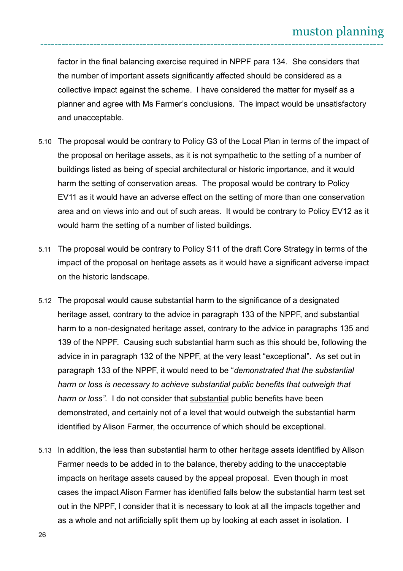factor in the final balancing exercise required in NPPF para 134. She considers that the number of important assets significantly affected should be considered as a collective impact against the scheme. I have considered the matter for myself as a planner and agree with Ms Farmer's conclusions. The impact would be unsatisfactory and unacceptable.

- 5.10 The proposal would be contrary to Policy G3 of the Local Plan in terms of the impact of the proposal on heritage assets, as it is not sympathetic to the setting of a number of buildings listed as being of special architectural or historic importance, and it would harm the setting of conservation areas. The proposal would be contrary to Policy EV11 as it would have an adverse effect on the setting of more than one conservation area and on views into and out of such areas. It would be contrary to Policy EV12 as it would harm the setting of a number of listed buildings.
- 5.11 The proposal would be contrary to Policy S11 of the draft Core Strategy in terms of the impact of the proposal on heritage assets as it would have a significant adverse impact on the historic landscape.
- 5.12 The proposal would cause substantial harm to the significance of a designated heritage asset, contrary to the advice in paragraph 133 of the NPPF, and substantial harm to a non-designated heritage asset, contrary to the advice in paragraphs 135 and 139 of the NPPF. Causing such substantial harm such as this should be, following the advice in in paragraph 132 of the NPPF, at the very least "exceptional". As set out in paragraph 133 of the NPPF, it would need to be "*demonstrated that the substantial harm or loss is necessary to achieve substantial public benefits that outweigh that harm or loss".* I do not consider that substantial public benefits have been demonstrated, and certainly not of a level that would outweigh the substantial harm identified by Alison Farmer, the occurrence of which should be exceptional.
- 5.13 In addition, the less than substantial harm to other heritage assets identified by Alison Farmer needs to be added in to the balance, thereby adding to the unacceptable impacts on heritage assets caused by the appeal proposal. Even though in most cases the impact Alison Farmer has identified falls below the substantial harm test set out in the NPPF, I consider that it is necessary to look at all the impacts together and as a whole and not artificially split them up by looking at each asset in isolation. I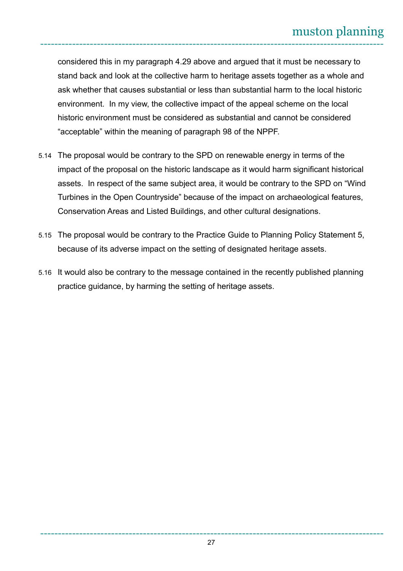considered this in my paragraph 4.29 above and argued that it must be necessary to stand back and look at the collective harm to heritage assets together as a whole and ask whether that causes substantial or less than substantial harm to the local historic environment. In my view, the collective impact of the appeal scheme on the local historic environment must be considered as substantial and cannot be considered "acceptable" within the meaning of paragraph 98 of the NPPF.

- 5.14 The proposal would be contrary to the SPD on renewable energy in terms of the impact of the proposal on the historic landscape as it would harm significant historical assets. In respect of the same subject area, it would be contrary to the SPD on "Wind Turbines in the Open Countryside" because of the impact on archaeological features, Conservation Areas and Listed Buildings, and other cultural designations.
- 5.15 The proposal would be contrary to the Practice Guide to Planning Policy Statement 5, because of its adverse impact on the setting of designated heritage assets.
- 5.16 It would also be contrary to the message contained in the recently published planning practice guidance, by harming the setting of heritage assets.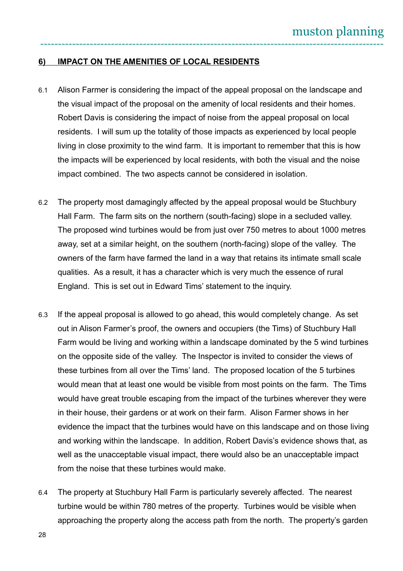#### **6) IMPACT ON THE AMENITIES OF LOCAL RESIDENTS**

- 6.1 Alison Farmer is considering the impact of the appeal proposal on the landscape and the visual impact of the proposal on the amenity of local residents and their homes. Robert Davis is considering the impact of noise from the appeal proposal on local residents. I will sum up the totality of those impacts as experienced by local people living in close proximity to the wind farm. It is important to remember that this is how the impacts will be experienced by local residents, with both the visual and the noise impact combined. The two aspects cannot be considered in isolation.
- 6.2 The property most damagingly affected by the appeal proposal would be Stuchbury Hall Farm. The farm sits on the northern (south-facing) slope in a secluded valley. The proposed wind turbines would be from just over 750 metres to about 1000 metres away, set at a similar height, on the southern (north-facing) slope of the valley. The owners of the farm have farmed the land in a way that retains its intimate small scale qualities. As a result, it has a character which is very much the essence of rural England. This is set out in Edward Tims' statement to the inquiry.
- 6.3 If the appeal proposal is allowed to go ahead, this would completely change. As set out in Alison Farmer's proof, the owners and occupiers (the Tims) of Stuchbury Hall Farm would be living and working within a landscape dominated by the 5 wind turbines on the opposite side of the valley. The Inspector is invited to consider the views of these turbines from all over the Tims' land. The proposed location of the 5 turbines would mean that at least one would be visible from most points on the farm. The Tims would have great trouble escaping from the impact of the turbines wherever they were in their house, their gardens or at work on their farm. Alison Farmer shows in her evidence the impact that the turbines would have on this landscape and on those living and working within the landscape. In addition, Robert Davis's evidence shows that, as well as the unacceptable visual impact, there would also be an unacceptable impact from the noise that these turbines would make.
- 6.4 The property at Stuchbury Hall Farm is particularly severely affected. The nearest turbine would be within 780 metres of the property. Turbines would be visible when approaching the property along the access path from the north. The property's garden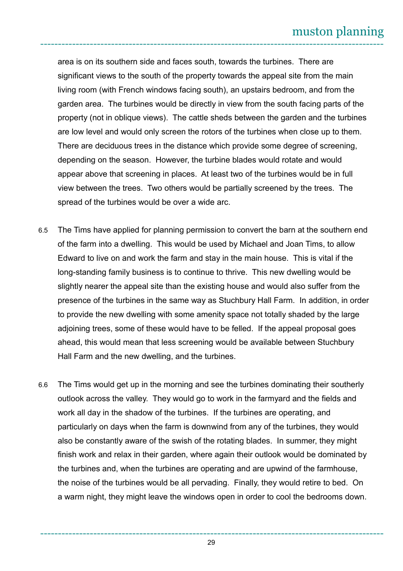area is on its southern side and faces south, towards the turbines. There are significant views to the south of the property towards the appeal site from the main living room (with French windows facing south), an upstairs bedroom, and from the garden area. The turbines would be directly in view from the south facing parts of the property (not in oblique views). The cattle sheds between the garden and the turbines are low level and would only screen the rotors of the turbines when close up to them. There are deciduous trees in the distance which provide some degree of screening, depending on the season. However, the turbine blades would rotate and would appear above that screening in places. At least two of the turbines would be in full view between the trees. Two others would be partially screened by the trees. The spread of the turbines would be over a wide arc.

- 6.5 The Tims have applied for planning permission to convert the barn at the southern end of the farm into a dwelling. This would be used by Michael and Joan Tims, to allow Edward to live on and work the farm and stay in the main house. This is vital if the long-standing family business is to continue to thrive. This new dwelling would be slightly nearer the appeal site than the existing house and would also suffer from the presence of the turbines in the same way as Stuchbury Hall Farm. In addition, in order to provide the new dwelling with some amenity space not totally shaded by the large adjoining trees, some of these would have to be felled. If the appeal proposal goes ahead, this would mean that less screening would be available between Stuchbury Hall Farm and the new dwelling, and the turbines.
- 6.6 The Tims would get up in the morning and see the turbines dominating their southerly outlook across the valley. They would go to work in the farmyard and the fields and work all day in the shadow of the turbines. If the turbines are operating, and particularly on days when the farm is downwind from any of the turbines, they would also be constantly aware of the swish of the rotating blades. In summer, they might finish work and relax in their garden, where again their outlook would be dominated by the turbines and, when the turbines are operating and are upwind of the farmhouse, the noise of the turbines would be all pervading. Finally, they would retire to bed. On a warm night, they might leave the windows open in order to cool the bedrooms down.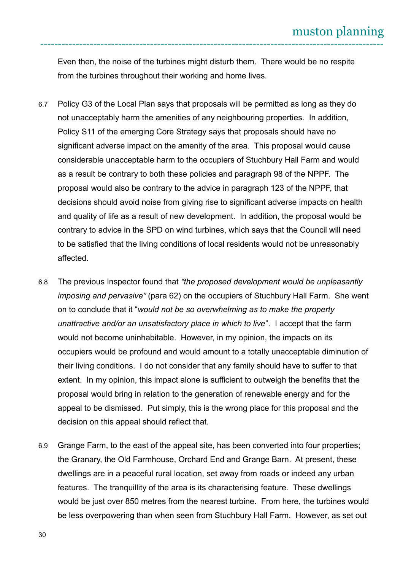Even then, the noise of the turbines might disturb them. There would be no respite from the turbines throughout their working and home lives.

- 6.7 Policy G3 of the Local Plan says that proposals will be permitted as long as they do not unacceptably harm the amenities of any neighbouring properties. In addition, Policy S11 of the emerging Core Strategy says that proposals should have no significant adverse impact on the amenity of the area. This proposal would cause considerable unacceptable harm to the occupiers of Stuchbury Hall Farm and would as a result be contrary to both these policies and paragraph 98 of the NPPF. The proposal would also be contrary to the advice in paragraph 123 of the NPPF, that decisions should avoid noise from giving rise to significant adverse impacts on health and quality of life as a result of new development. In addition, the proposal would be contrary to advice in the SPD on wind turbines, which says that the Council will need to be satisfied that the living conditions of local residents would not be unreasonably affected.
- 6.8 The previous Inspector found that *"the proposed development would be unpleasantly imposing and pervasive"* (para 62) on the occupiers of Stuchbury Hall Farm. She went on to conclude that it "*would not be so overwhelming as to make the property unattractive and/or an unsatisfactory place in which to live*". I accept that the farm would not become uninhabitable. However, in my opinion, the impacts on its occupiers would be profound and would amount to a totally unacceptable diminution of their living conditions. I do not consider that any family should have to suffer to that extent. In my opinion, this impact alone is sufficient to outweigh the benefits that the proposal would bring in relation to the generation of renewable energy and for the appeal to be dismissed. Put simply, this is the wrong place for this proposal and the decision on this appeal should reflect that.
- 6.9 Grange Farm, to the east of the appeal site, has been converted into four properties; the Granary, the Old Farmhouse, Orchard End and Grange Barn. At present, these dwellings are in a peaceful rural location, set away from roads or indeed any urban features. The tranquillity of the area is its characterising feature. These dwellings would be just over 850 metres from the nearest turbine. From here, the turbines would be less overpowering than when seen from Stuchbury Hall Farm. However, as set out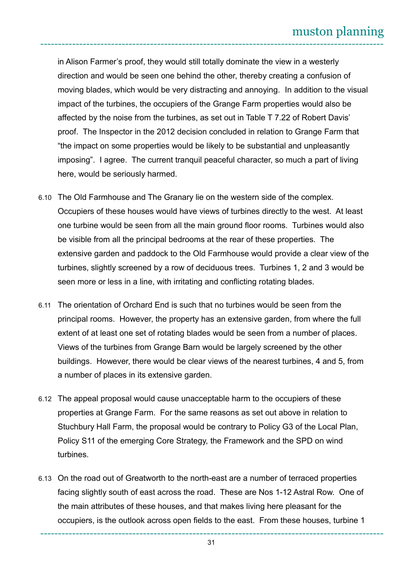in Alison Farmer's proof, they would still totally dominate the view in a westerly direction and would be seen one behind the other, thereby creating a confusion of moving blades, which would be very distracting and annoying. In addition to the visual impact of the turbines, the occupiers of the Grange Farm properties would also be affected by the noise from the turbines, as set out in Table T 7.22 of Robert Davis' proof. The Inspector in the 2012 decision concluded in relation to Grange Farm that "the impact on some properties would be likely to be substantial and unpleasantly imposing". I agree. The current tranquil peaceful character, so much a part of living here, would be seriously harmed.

- 6.10 The Old Farmhouse and The Granary lie on the western side of the complex. Occupiers of these houses would have views of turbines directly to the west. At least one turbine would be seen from all the main ground floor rooms. Turbines would also be visible from all the principal bedrooms at the rear of these properties. The extensive garden and paddock to the Old Farmhouse would provide a clear view of the turbines, slightly screened by a row of deciduous trees. Turbines 1, 2 and 3 would be seen more or less in a line, with irritating and conflicting rotating blades.
- 6.11 The orientation of Orchard End is such that no turbines would be seen from the principal rooms. However, the property has an extensive garden, from where the full extent of at least one set of rotating blades would be seen from a number of places. Views of the turbines from Grange Barn would be largely screened by the other buildings. However, there would be clear views of the nearest turbines, 4 and 5, from a number of places in its extensive garden.
- 6.12 The appeal proposal would cause unacceptable harm to the occupiers of these properties at Grange Farm. For the same reasons as set out above in relation to Stuchbury Hall Farm, the proposal would be contrary to Policy G3 of the Local Plan, Policy S11 of the emerging Core Strategy, the Framework and the SPD on wind turbines.
- 6.13 On the road out of Greatworth to the north-east are a number of terraced properties facing slightly south of east across the road. These are Nos 1-12 Astral Row. One of the main attributes of these houses, and that makes living here pleasant for the occupiers, is the outlook across open fields to the east. From these houses, turbine 1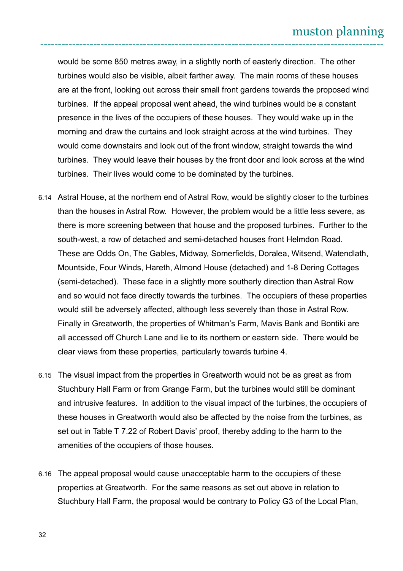would be some 850 metres away, in a slightly north of easterly direction. The other turbines would also be visible, albeit farther away. The main rooms of these houses are at the front, looking out across their small front gardens towards the proposed wind turbines. If the appeal proposal went ahead, the wind turbines would be a constant presence in the lives of the occupiers of these houses. They would wake up in the morning and draw the curtains and look straight across at the wind turbines. They would come downstairs and look out of the front window, straight towards the wind turbines. They would leave their houses by the front door and look across at the wind turbines. Their lives would come to be dominated by the turbines.

- 6.14 Astral House, at the northern end of Astral Row, would be slightly closer to the turbines than the houses in Astral Row. However, the problem would be a little less severe, as there is more screening between that house and the proposed turbines. Further to the south-west, a row of detached and semi-detached houses front Helmdon Road. These are Odds On, The Gables, Midway, Somerfields, Doralea, Witsend, Watendlath, Mountside, Four Winds, Hareth, Almond House (detached) and 1-8 Dering Cottages (semi-detached). These face in a slightly more southerly direction than Astral Row and so would not face directly towards the turbines. The occupiers of these properties would still be adversely affected, although less severely than those in Astral Row. Finally in Greatworth, the properties of Whitman's Farm, Mavis Bank and Bontiki are all accessed off Church Lane and lie to its northern or eastern side. There would be clear views from these properties, particularly towards turbine 4.
- 6.15 The visual impact from the properties in Greatworth would not be as great as from Stuchbury Hall Farm or from Grange Farm, but the turbines would still be dominant and intrusive features. In addition to the visual impact of the turbines, the occupiers of these houses in Greatworth would also be affected by the noise from the turbines, as set out in Table T 7.22 of Robert Davis' proof, thereby adding to the harm to the amenities of the occupiers of those houses.
- 6.16 The appeal proposal would cause unacceptable harm to the occupiers of these properties at Greatworth. For the same reasons as set out above in relation to Stuchbury Hall Farm, the proposal would be contrary to Policy G3 of the Local Plan,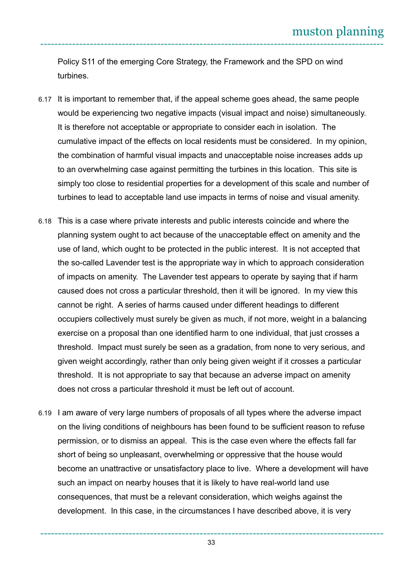Policy S11 of the emerging Core Strategy, the Framework and the SPD on wind turbines.

- 6.17 It is important to remember that, if the appeal scheme goes ahead, the same people would be experiencing two negative impacts (visual impact and noise) simultaneously. It is therefore not acceptable or appropriate to consider each in isolation. The cumulative impact of the effects on local residents must be considered. In my opinion, the combination of harmful visual impacts and unacceptable noise increases adds up to an overwhelming case against permitting the turbines in this location. This site is simply too close to residential properties for a development of this scale and number of turbines to lead to acceptable land use impacts in terms of noise and visual amenity.
- 6.18 This is a case where private interests and public interests coincide and where the planning system ought to act because of the unacceptable effect on amenity and the use of land, which ought to be protected in the public interest. It is not accepted that the so-called Lavender test is the appropriate way in which to approach consideration of impacts on amenity. The Lavender test appears to operate by saying that if harm caused does not cross a particular threshold, then it will be ignored. In my view this cannot be right. A series of harms caused under different headings to different occupiers collectively must surely be given as much, if not more, weight in a balancing exercise on a proposal than one identified harm to one individual, that just crosses a threshold. Impact must surely be seen as a gradation, from none to very serious, and given weight accordingly, rather than only being given weight if it crosses a particular threshold. It is not appropriate to say that because an adverse impact on amenity does not cross a particular threshold it must be left out of account.
- 6.19 I am aware of very large numbers of proposals of all types where the adverse impact on the living conditions of neighbours has been found to be sufficient reason to refuse permission, or to dismiss an appeal. This is the case even where the effects fall far short of being so unpleasant, overwhelming or oppressive that the house would become an unattractive or unsatisfactory place to live. Where a development will have such an impact on nearby houses that it is likely to have real-world land use consequences, that must be a relevant consideration, which weighs against the development. In this case, in the circumstances I have described above, it is very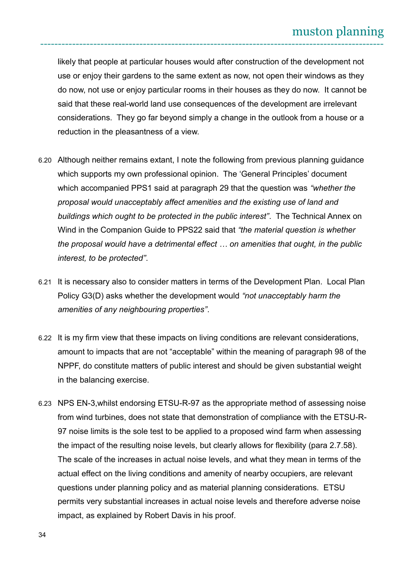likely that people at particular houses would after construction of the development not use or enjoy their gardens to the same extent as now, not open their windows as they do now, not use or enjoy particular rooms in their houses as they do now. It cannot be said that these real-world land use consequences of the development are irrelevant considerations. They go far beyond simply a change in the outlook from a house or a reduction in the pleasantness of a view.

- 6.20 Although neither remains extant, I note the following from previous planning guidance which supports my own professional opinion. The 'General Principles' document which accompanied PPS1 said at paragraph 29 that the question was *"whether the proposal would unacceptably affect amenities and the existing use of land and buildings which ought to be protected in the public interest"*. The Technical Annex on Wind in the Companion Guide to PPS22 said that *"the material question is whether the proposal would have a detrimental effect … on amenities that ought, in the public interest, to be protected"*.
- 6.21 It is necessary also to consider matters in terms of the Development Plan. Local Plan Policy G3(D) asks whether the development would *"not unacceptably harm the amenities of any neighbouring properties"*.
- 6.22 It is my firm view that these impacts on living conditions are relevant considerations, amount to impacts that are not "acceptable" within the meaning of paragraph 98 of the NPPF, do constitute matters of public interest and should be given substantial weight in the balancing exercise.
- 6.23 NPS EN-3,whilst endorsing ETSU-R-97 as the appropriate method of assessing noise from wind turbines, does not state that demonstration of compliance with the ETSU-R-97 noise limits is the sole test to be applied to a proposed wind farm when assessing the impact of the resulting noise levels, but clearly allows for flexibility (para 2.7.58). The scale of the increases in actual noise levels, and what they mean in terms of the actual effect on the living conditions and amenity of nearby occupiers, are relevant questions under planning policy and as material planning considerations. ETSU permits very substantial increases in actual noise levels and therefore adverse noise impact, as explained by Robert Davis in his proof.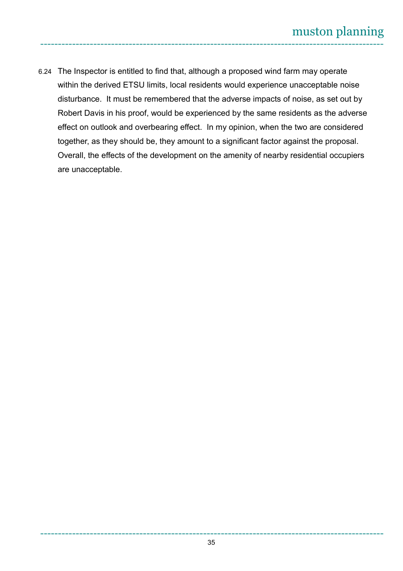6.24 The Inspector is entitled to find that, although a proposed wind farm may operate within the derived ETSU limits, local residents would experience unacceptable noise disturbance. It must be remembered that the adverse impacts of noise, as set out by Robert Davis in his proof, would be experienced by the same residents as the adverse effect on outlook and overbearing effect. In my opinion, when the two are considered together, as they should be, they amount to a significant factor against the proposal. Overall, the effects of the development on the amenity of nearby residential occupiers are unacceptable.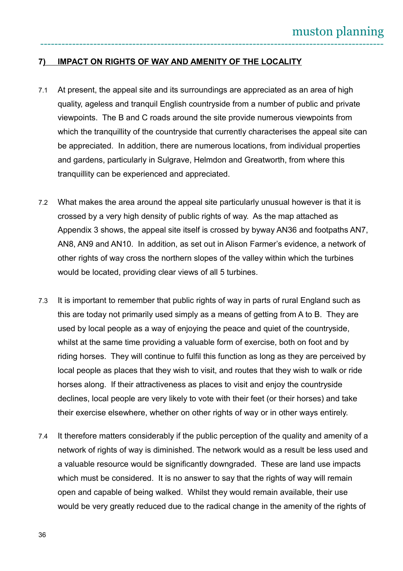### **7 ) IMPACT ON RIGHTS OF WAY AND AMENITY OF THE LOCALITY**

- 7.1 At present, the appeal site and its surroundings are appreciated as an area of high quality, ageless and tranquil English countryside from a number of public and private viewpoints. The B and C roads around the site provide numerous viewpoints from which the tranquillity of the countryside that currently characterises the appeal site can be appreciated. In addition, there are numerous locations, from individual properties and gardens, particularly in Sulgrave, Helmdon and Greatworth, from where this tranquillity can be experienced and appreciated.
- 7.2 What makes the area around the appeal site particularly unusual however is that it is crossed by a very high density of public rights of way. As the map attached as Appendix 3 shows, the appeal site itself is crossed by byway AN36 and footpaths AN7, AN8, AN9 and AN10. In addition, as set out in Alison Farmer's evidence, a network of other rights of way cross the northern slopes of the valley within which the turbines would be located, providing clear views of all 5 turbines.
- 7.3 It is important to remember that public rights of way in parts of rural England such as this are today not primarily used simply as a means of getting from A to B. They are used by local people as a way of enjoying the peace and quiet of the countryside, whilst at the same time providing a valuable form of exercise, both on foot and by riding horses. They will continue to fulfil this function as long as they are perceived by local people as places that they wish to visit, and routes that they wish to walk or ride horses along. If their attractiveness as places to visit and enjoy the countryside declines, local people are very likely to vote with their feet (or their horses) and take their exercise elsewhere, whether on other rights of way or in other ways entirely.
- 7.4 It therefore matters considerably if the public perception of the quality and amenity of a network of rights of way is diminished. The network would as a result be less used and a valuable resource would be significantly downgraded. These are land use impacts which must be considered. It is no answer to say that the rights of way will remain open and capable of being walked. Whilst they would remain available, their use would be very greatly reduced due to the radical change in the amenity of the rights of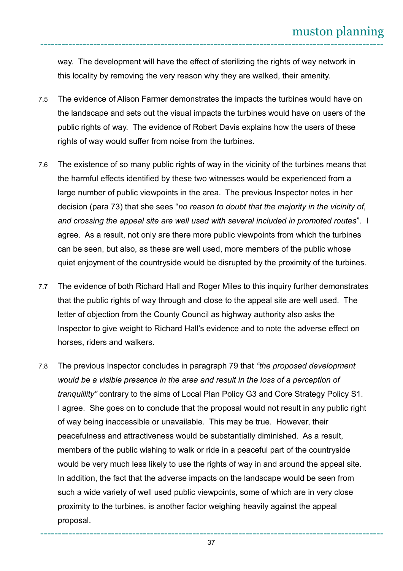way. The development will have the effect of sterilizing the rights of way network in this locality by removing the very reason why they are walked, their amenity.

- 7.5 The evidence of Alison Farmer demonstrates the impacts the turbines would have on the landscape and sets out the visual impacts the turbines would have on users of the public rights of way. The evidence of Robert Davis explains how the users of these rights of way would suffer from noise from the turbines.
- 7.6 The existence of so many public rights of way in the vicinity of the turbines means that the harmful effects identified by these two witnesses would be experienced from a large number of public viewpoints in the area. The previous Inspector notes in her decision (para 73) that she sees "*no reason to doubt that the majority in the vicinity of, and crossing the appeal site are well used with several included in promoted routes*". I agree. As a result, not only are there more public viewpoints from which the turbines can be seen, but also, as these are well used, more members of the public whose quiet enjoyment of the countryside would be disrupted by the proximity of the turbines.
- 7.7 The evidence of both Richard Hall and Roger Miles to this inquiry further demonstrates that the public rights of way through and close to the appeal site are well used. The letter of objection from the County Council as highway authority also asks the Inspector to give weight to Richard Hall's evidence and to note the adverse effect on horses, riders and walkers.
- 7.8 The previous Inspector concludes in paragraph 79 that *"the proposed development would be a visible presence in the area and result in the loss of a perception of tranquillity"* contrary to the aims of Local Plan Policy G3 and Core Strategy Policy S1. I agree. She goes on to conclude that the proposal would not result in any public right of way being inaccessible or unavailable. This may be true. However, their peacefulness and attractiveness would be substantially diminished. As a result, members of the public wishing to walk or ride in a peaceful part of the countryside would be very much less likely to use the rights of way in and around the appeal site. In addition, the fact that the adverse impacts on the landscape would be seen from such a wide variety of well used public viewpoints, some of which are in very close proximity to the turbines, is another factor weighing heavily against the appeal proposal.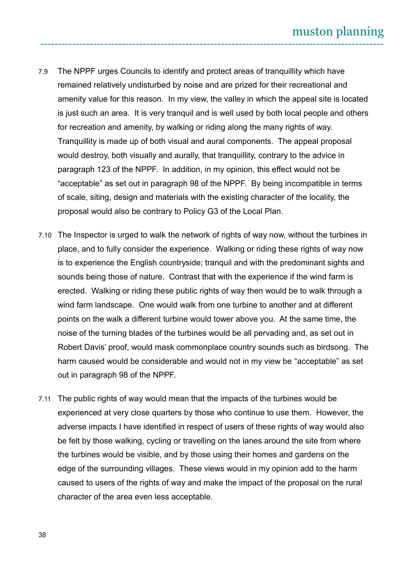- 7.9 The NPPF urges Councils to identify and protect areas of tranquillity which have remained relatively undisturbed by noise and are prized for their recreational and amenity value for this reason. In my view, the valley in which the appeal site is located is just such an area. It is very tranquil and is well used by both local people and others for recreation and amenity, by walking or riding along the many rights of way. Tranquillity is made up of both visual and aural components. The appeal proposal would destroy, both visually and aurally, that tranquillity, contrary to the advice in paragraph 123 of the NPPF. In addition, in my opinion, this effect would not be "acceptable" as set out in paragraph 98 of the NPPF. By being incompatible in terms of scale, siting, design and materials with the existing character of the locality, the proposal would also be contrary to Policy G3 of the Local Plan.
- 7.10 The Inspector is urged to walk the network of rights of way now, without the turbines in place, and to fully consider the experience. Walking or riding these rights of way now is to experience the English countryside; tranquil and with the predominant sights and sounds being those of nature. Contrast that with the experience if the wind farm is erected. Walking or riding these public rights of way then would be to walk through a wind farm landscape. One would walk from one turbine to another and at different points on the walk a different turbine would tower above you. At the same time, the noise of the turning blades of the turbines would be all pervading and, as set out in Robert Davis' proof, would mask commonplace country sounds such as birdsong. The harm caused would be considerable and would not in my view be "acceptable" as set out in paragraph 98 of the NPPF.
- 7.11 The public rights of way would mean that the impacts of the turbines would be experienced at very close quarters by those who continue to use them. However, the adverse impacts I have identified in respect of users of these rights of way would also be felt by those walking, cycling or travelling on the lanes around the site from where the turbines would be visible, and by those using their homes and gardens on the edge of the surrounding villages. These views would in my opinion add to the harm caused to users of the rights of way and make the impact of the proposal on the rural character of the area even less acceptable.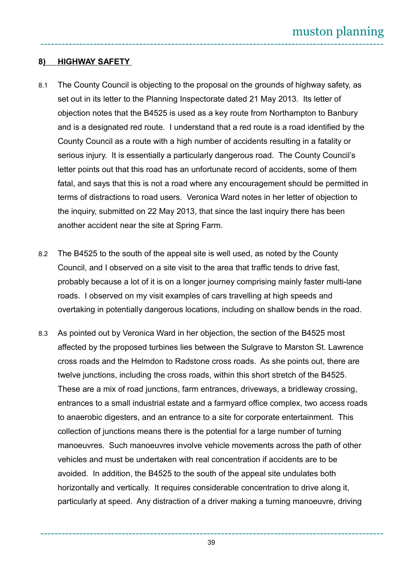## 8) HIGHWAY SAFETY

- 8.1 The County Council is objecting to the proposal on the grounds of highway safety, as set out in its letter to the Planning Inspectorate dated 21 May 2013. Its letter of objection notes that the B4525 is used as a key route from Northampton to Banbury and is a designated red route. I understand that a red route is a road identified by the County Council as a route with a high number of accidents resulting in a fatality or serious injury. It is essentially a particularly dangerous road. The County Council's letter points out that this road has an unfortunate record of accidents, some of them fatal, and says that this is not a road where any encouragement should be permitted in terms of distractions to road users. Veronica Ward notes in her letter of objection to the inquiry, submitted on 22 May 2013, that since the last inquiry there has been another accident near the site at Spring Farm.
- 8.2 The B4525 to the south of the appeal site is well used, as noted by the County Council, and I observed on a site visit to the area that traffic tends to drive fast, probably because a lot of it is on a longer journey comprising mainly faster multi-lane roads. I observed on my visit examples of cars travelling at high speeds and overtaking in potentially dangerous locations, including on shallow bends in the road.
- 8.3 As pointed out by Veronica Ward in her objection, the section of the B4525 most affected by the proposed turbines lies between the Sulgrave to Marston St. Lawrence cross roads and the Helmdon to Radstone cross roads. As she points out, there are twelve junctions, including the cross roads, within this short stretch of the B4525. These are a mix of road junctions, farm entrances, driveways, a bridleway crossing, entrances to a small industrial estate and a farmyard office complex, two access roads to anaerobic digesters, and an entrance to a site for corporate entertainment. This collection of junctions means there is the potential for a large number of turning manoeuvres. Such manoeuvres involve vehicle movements across the path of other vehicles and must be undertaken with real concentration if accidents are to be avoided. In addition, the B4525 to the south of the appeal site undulates both horizontally and vertically. It requires considerable concentration to drive along it, particularly at speed. Any distraction of a driver making a turning manoeuvre, driving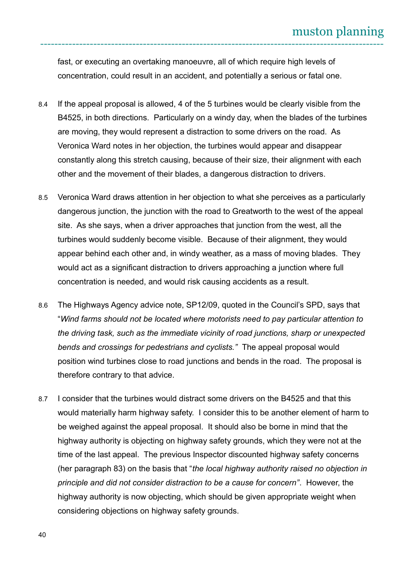fast, or executing an overtaking manoeuvre, all of which require high levels of concentration, could result in an accident, and potentially a serious or fatal one.

- 8.4 If the appeal proposal is allowed, 4 of the 5 turbines would be clearly visible from the B4525, in both directions. Particularly on a windy day, when the blades of the turbines are moving, they would represent a distraction to some drivers on the road. As Veronica Ward notes in her objection, the turbines would appear and disappear constantly along this stretch causing, because of their size, their alignment with each other and the movement of their blades, a dangerous distraction to drivers.
- 8.5 Veronica Ward draws attention in her objection to what she perceives as a particularly dangerous junction, the junction with the road to Greatworth to the west of the appeal site. As she says, when a driver approaches that junction from the west, all the turbines would suddenly become visible. Because of their alignment, they would appear behind each other and, in windy weather, as a mass of moving blades. They would act as a significant distraction to drivers approaching a junction where full concentration is needed, and would risk causing accidents as a result.
- 8.6 The Highways Agency advice note, SP12/09, quoted in the Council's SPD, says that "*Wind farms should not be located where motorists need to pay particular attention to the driving task, such as the immediate vicinity of road junctions, sharp or unexpected bends and crossings for pedestrians and cyclists."* The appeal proposal would position wind turbines close to road junctions and bends in the road. The proposal is therefore contrary to that advice.
- 8.7 I consider that the turbines would distract some drivers on the B4525 and that this would materially harm highway safety. I consider this to be another element of harm to be weighed against the appeal proposal. It should also be borne in mind that the highway authority is objecting on highway safety grounds, which they were not at the time of the last appeal. The previous Inspector discounted highway safety concerns (her paragraph 83) on the basis that "*the local highway authority raised no objection in principle and did not consider distraction to be a cause for concern"*. However, the highway authority is now objecting, which should be given appropriate weight when considering objections on highway safety grounds.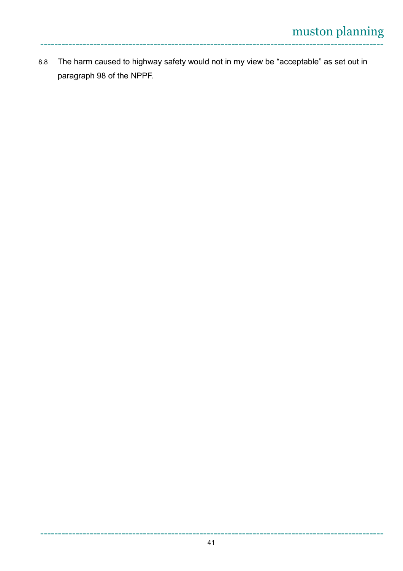8.8 The harm caused to highway safety would not in my view be "acceptable" as set out in paragraph 98 of the NPPF.

-------------------------------------------------------------------------------------------------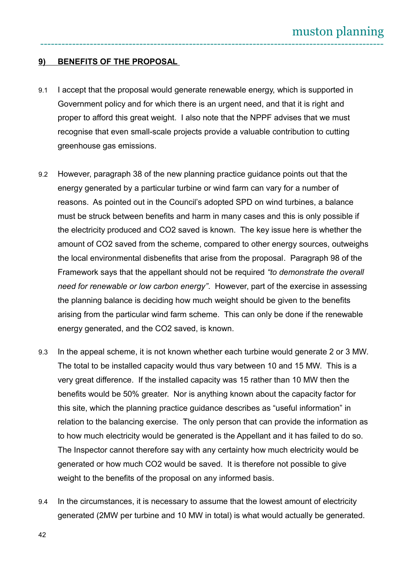### **9) BENEFITS OF THE PROPOSAL**

- 9.1 I accept that the proposal would generate renewable energy, which is supported in Government policy and for which there is an urgent need, and that it is right and proper to afford this great weight. I also note that the NPPF advises that we must recognise that even small-scale projects provide a valuable contribution to cutting greenhouse gas emissions.
- 9.2 However, paragraph 38 of the new planning practice guidance points out that the energy generated by a particular turbine or wind farm can vary for a number of reasons. As pointed out in the Council's adopted SPD on wind turbines, a balance must be struck between benefits and harm in many cases and this is only possible if the electricity produced and CO2 saved is known. The key issue here is whether the amount of CO2 saved from the scheme, compared to other energy sources, outweighs the local environmental disbenefits that arise from the proposal. Paragraph 98 of the Framework says that the appellant should not be required *"to demonstrate the overall need for renewable or low carbon energy"*. However, part of the exercise in assessing the planning balance is deciding how much weight should be given to the benefits arising from the particular wind farm scheme. This can only be done if the renewable energy generated, and the CO2 saved, is known.
- 9.3 In the appeal scheme, it is not known whether each turbine would generate 2 or 3 MW. The total to be installed capacity would thus vary between 10 and 15 MW. This is a very great difference. If the installed capacity was 15 rather than 10 MW then the benefits would be 50% greater. Nor is anything known about the capacity factor for this site, which the planning practice guidance describes as "useful information" in relation to the balancing exercise. The only person that can provide the information as to how much electricity would be generated is the Appellant and it has failed to do so. The Inspector cannot therefore say with any certainty how much electricity would be generated or how much CO2 would be saved. It is therefore not possible to give weight to the benefits of the proposal on any informed basis.
- 9.4 In the circumstances, it is necessary to assume that the lowest amount of electricity generated (2MW per turbine and 10 MW in total) is what would actually be generated.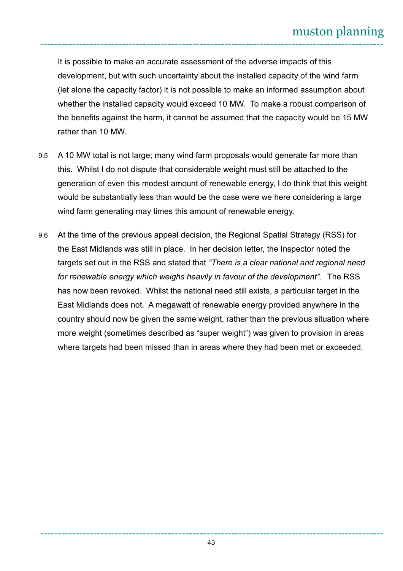It is possible to make an accurate assessment of the adverse impacts of this development, but with such uncertainty about the installed capacity of the wind farm (let alone the capacity factor) it is not possible to make an informed assumption about whether the installed capacity would exceed 10 MW. To make a robust comparison of the benefits against the harm, it cannot be assumed that the capacity would be 15 MW rather than 10 MW.

- 9.5 A 10 MW total is not large; many wind farm proposals would generate far more than this. Whilst I do not dispute that considerable weight must still be attached to the generation of even this modest amount of renewable energy, I do think that this weight would be substantially less than would be the case were we here considering a large wind farm generating may times this amount of renewable energy.
- 9.6 At the time of the previous appeal decision, the Regional Spatial Strategy (RSS) for the East Midlands was still in place. In her decision letter, the Inspector noted the targets set out in the RSS and stated that *"There is a clear national and regional need for renewable energy which weighs heavily in favour of the development".* The RSS has now been revoked. Whilst the national need still exists, a particular target in the East Midlands does not. A megawatt of renewable energy provided anywhere in the country should now be given the same weight, rather than the previous situation where more weight (sometimes described as "super weight") was given to provision in areas where targets had been missed than in areas where they had been met or exceeded.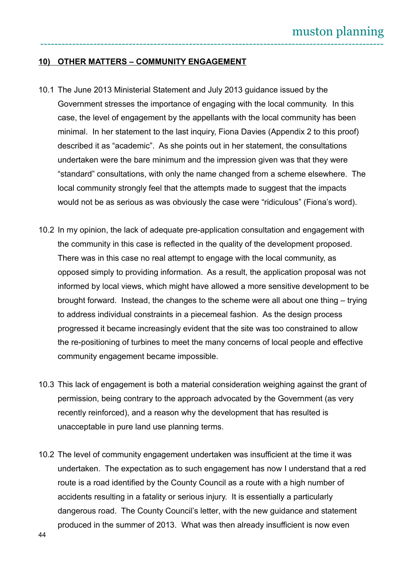#### **10) OTHER MATTERS – COMMUNITY ENGAGEMENT**

- 10.1 The June 2013 Ministerial Statement and July 2013 guidance issued by the Government stresses the importance of engaging with the local community. In this case, the level of engagement by the appellants with the local community has been minimal. In her statement to the last inquiry, Fiona Davies (Appendix 2 to this proof) described it as "academic". As she points out in her statement, the consultations undertaken were the bare minimum and the impression given was that they were "standard" consultations, with only the name changed from a scheme elsewhere. The local community strongly feel that the attempts made to suggest that the impacts would not be as serious as was obviously the case were "ridiculous" (Fiona's word).
- 10.2 In my opinion, the lack of adequate pre-application consultation and engagement with the community in this case is reflected in the quality of the development proposed. There was in this case no real attempt to engage with the local community, as opposed simply to providing information. As a result, the application proposal was not informed by local views, which might have allowed a more sensitive development to be brought forward. Instead, the changes to the scheme were all about one thing – trying to address individual constraints in a piecemeal fashion. As the design process progressed it became increasingly evident that the site was too constrained to allow the re-positioning of turbines to meet the many concerns of local people and effective community engagement became impossible.
- 10.3 This lack of engagement is both a material consideration weighing against the grant of permission, being contrary to the approach advocated by the Government (as very recently reinforced), and a reason why the development that has resulted is unacceptable in pure land use planning terms.
- 10.2 The level of community engagement undertaken was insufficient at the time it was undertaken. The expectation as to such engagement has now I understand that a red route is a road identified by the County Council as a route with a high number of accidents resulting in a fatality or serious injury. It is essentially a particularly dangerous road. The County Council's letter, with the new guidance and statement produced in the summer of 2013. What was then already insufficient is now even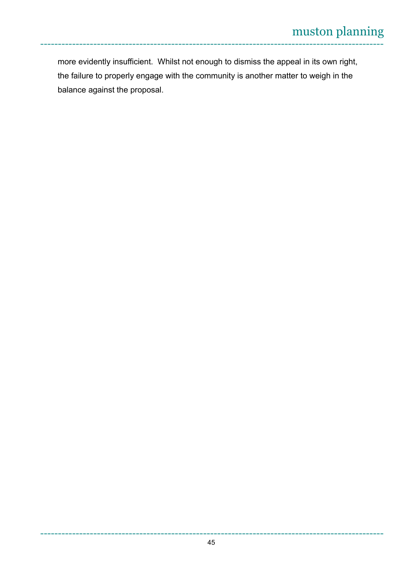more evidently insufficient. Whilst not enough to dismiss the appeal in its own right, the failure to properly engage with the community is another matter to weigh in the balance against the proposal.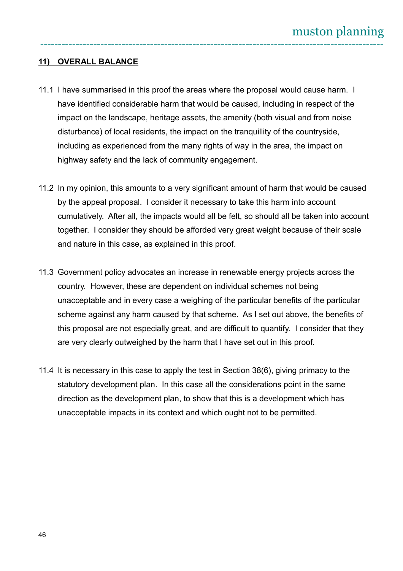### **11) OVERALL BALANCE**

- 11.1 I have summarised in this proof the areas where the proposal would cause harm. I have identified considerable harm that would be caused, including in respect of the impact on the landscape, heritage assets, the amenity (both visual and from noise disturbance) of local residents, the impact on the tranquillity of the countryside, including as experienced from the many rights of way in the area, the impact on highway safety and the lack of community engagement.
- 11.2 In my opinion, this amounts to a very significant amount of harm that would be caused by the appeal proposal. I consider it necessary to take this harm into account cumulatively. After all, the impacts would all be felt, so should all be taken into account together. I consider they should be afforded very great weight because of their scale and nature in this case, as explained in this proof.
- 11.3 Government policy advocates an increase in renewable energy projects across the country. However, these are dependent on individual schemes not being unacceptable and in every case a weighing of the particular benefits of the particular scheme against any harm caused by that scheme. As I set out above, the benefits of this proposal are not especially great, and are difficult to quantify. I consider that they are very clearly outweighed by the harm that I have set out in this proof.
- 11.4 It is necessary in this case to apply the test in Section 38(6), giving primacy to the statutory development plan. In this case all the considerations point in the same direction as the development plan, to show that this is a development which has unacceptable impacts in its context and which ought not to be permitted.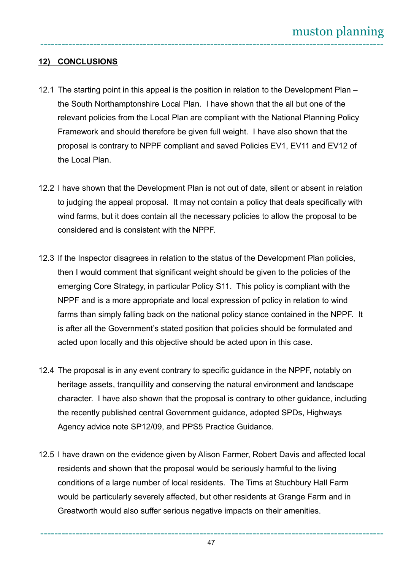## **12) CONCLUSIONS**

- 12.1 The starting point in this appeal is the position in relation to the Development Plan the South Northamptonshire Local Plan. I have shown that the all but one of the relevant policies from the Local Plan are compliant with the National Planning Policy Framework and should therefore be given full weight. I have also shown that the proposal is contrary to NPPF compliant and saved Policies EV1, EV11 and EV12 of the Local Plan.
- 12.2 I have shown that the Development Plan is not out of date, silent or absent in relation to judging the appeal proposal. It may not contain a policy that deals specifically with wind farms, but it does contain all the necessary policies to allow the proposal to be considered and is consistent with the NPPF.
- 12.3 If the Inspector disagrees in relation to the status of the Development Plan policies, then I would comment that significant weight should be given to the policies of the emerging Core Strategy, in particular Policy S11. This policy is compliant with the NPPF and is a more appropriate and local expression of policy in relation to wind farms than simply falling back on the national policy stance contained in the NPPF. It is after all the Government's stated position that policies should be formulated and acted upon locally and this objective should be acted upon in this case.
- 12.4 The proposal is in any event contrary to specific guidance in the NPPF, notably on heritage assets, tranquillity and conserving the natural environment and landscape character. I have also shown that the proposal is contrary to other guidance, including the recently published central Government guidance, adopted SPDs, Highways Agency advice note SP12/09, and PPS5 Practice Guidance.
- 12.5 I have drawn on the evidence given by Alison Farmer, Robert Davis and affected local residents and shown that the proposal would be seriously harmful to the living conditions of a large number of local residents. The Tims at Stuchbury Hall Farm would be particularly severely affected, but other residents at Grange Farm and in Greatworth would also suffer serious negative impacts on their amenities.